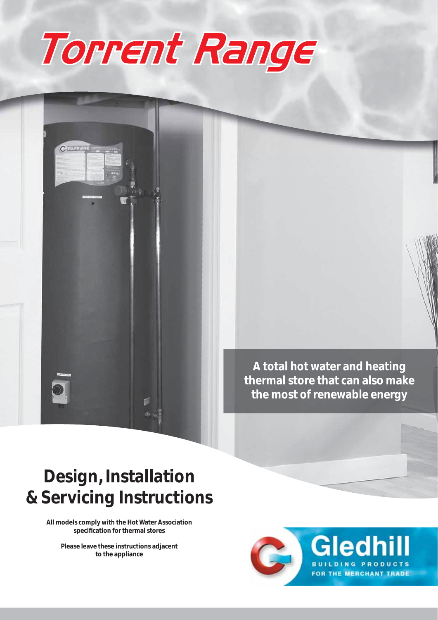



### **Design, Installation & Servicing Instructions**

**All models comply with the Hot Water Association specifi cation for thermal stores**

**Please leave these instructions adjacent to the appliance**

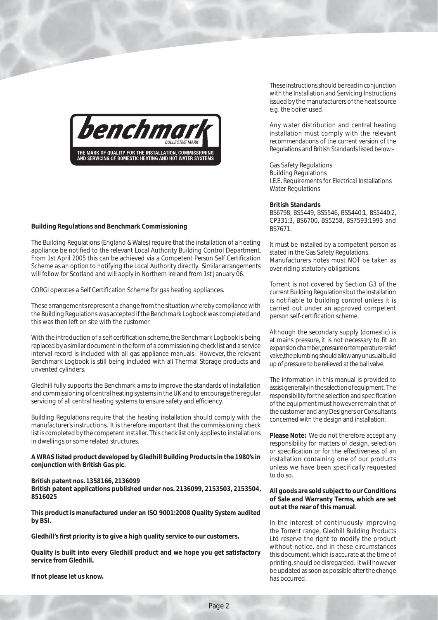

#### **Building Regulations and Benchmark Commissioning**

The Building Regulations (England & Wales) require that the installation of a heating appliance be notified to the relevant Local Authority Building Control Department. From 1st April 2005 this can be achieved via a Competent Person Self Certification Scheme as an option to notifying the Local Authority directly. Similar arrangements will follow for Scotland and will apply in Northern Ireland from 1st January 06.

CORGI operates a Self Certification Scheme for gas heating appliances.

These arrangements represent a change from the situation whereby compliance with the Building Regulations was accepted if the Benchmark Logbook was completed and this was then left on site with the customer.

With the introduction of a self certification scheme, the Benchmark Logbook is being replaced by a similar document in the form of a commissioning check list and a service interval record is included with all gas appliance manuals. However, the relevant Benchmark Logbook is still being included with all Thermal Storage products and unvented cylinders.

Gledhill fully supports the Benchmark aims to improve the standards of installation and commissioning of central heating systems in the UK and to encourage the regular servicing of all central heating systems to ensure safety and efficiency.

Building Regulations require that the heating installation should comply with the manufacturer's instructions. It is therefore important that the commissioning check list is completed by the competent installer. This check list only applies to installations in dwellings or some related structures.

#### **A WRAS listed product developed by Gledhill Building Products in the 1980's in conjunction with British Gas plc.**

#### **British patent nos. 1358166, 2136099**

**British patent applications published under nos. 2136099, 2153503, 2153504, 8516025**

**This product is manufactured under an ISO 9001:2008 Quality System audited by BSI.**

Gledhill's first priority is to give a high quality service to our customers.

**Quality is built into every Gledhill product and we hope you get satisfactory service from Gledhill.** 

**If not please let us know.**

These instructions should be read in conjunction with the Installation and Servicing Instructions issued by the manufacturers of the heat source e.g. the boiler used.

Any water distribution and central heating installation must comply with the relevant recommendations of the current version of the Regulations and British Standards listed below:-

Gas Safety Regulations Building Regulations I.E.E. Requirements for Electrical Installations Water Regulations

#### **British Standards**

BS6798, BS5449, BS5546, BS5440:1, BS5440:2, CP331:3, BS6700, BS5258, BS7593:1993 and BS7671.

It must be installed by a competent person as stated in the Gas Safety Regulations. Manufacturers notes must NOT be taken as over-riding statutory obligations.

Torrent is not covered by Section G3 of the current Building Regulations but the installation is notifiable to building control unless it is carried out under an approved competent person self-certification scheme.

Although the secondary supply (domestic) is at mains pressure, it is not necessary to fit an expansion chamber, pressure or temperature relief valve, the plumbing should allow any unusual build up of pressure to be relieved at the ball valve.

The information in this manual is provided to assist generally in the selection of equipment. The responsibility for the selection and specification of the equipment must however remain that of the customer and any Designers or Consultants concerned with the design and installation.

**Please Note:** We do not therefore accept any responsibility for matters of design, selection or specification or for the effectiveness of an installation containing one of our products unless we have been specifically requested to do so.

#### **All goods are sold subject to our Conditions of Sale and Warranty Terms, which are set out at the rear of this manual.**

In the interest of continuously improving the Torrent range, Gledhill Building Products Ltd reserve the right to modify the product without notice, and in these circumstances this document, which is accurate at the time of printing, should be disregarded. It will however be updated as soon as possible after the change has occurred.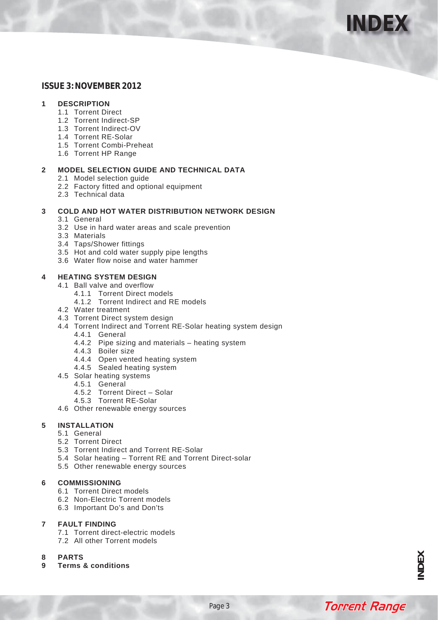

### **ISSUE 3: NOVEMBER 2012**

### **1 DESCRIPTION**

- 1.1 Torrent Direct
- 1.2 Torrent Indirect-SP
- 1.3 Torrent Indirect-OV
- 1.4 Torrent RE-Solar
- 1.5 Torrent Combi-Preheat
- 1.6 Torrent HP Range

### **2 MODEL SELECTION GUIDE AND TECHNICAL DATA**

- 2.1 Model selection guide
- 2.2 Factory fitted and optional equipment
- 2.3 Technical data

### **3 COLD AND HOT WATER DISTRIBUTION NETWORK DESIGN**

- 3.1 General
- 3.2 Use in hard water areas and scale prevention
- 3.3 Materials
- 3.4 Taps/Shower fittings
- 3.5 Hot and cold water supply pipe lengths
- 3.6 Water flow noise and water hammer

### **4 HEATING SYSTEM DESIGN**

- 4.1 Ball valve and overflow
	- 4.1.1 Torrent Direct models
	- 4.1.2 Torrent Indirect and RE models
- 4.2 Water treatment
- 4.3 Torrent Direct system design
- 4.4 Torrent Indirect and Torrent RE-Solar heating system design
	- 4.4.1 General
	- 4.4.2 Pipe sizing and materials heating system
	- 4.4.3 Boiler size
	- 4.4.4 Open vented heating system
	- 4.4.5 Sealed heating system
- 4.5 Solar heating systems
	- 4.5.1 General
	- 4.5.2 Torrent Direct Solar
	- 4.5.3 Torrent RE-Solar
- 4.6 Other renewable energy sources

### **5 INSTALLATION**

- 5.1 General
- 5.2 Torrent Direct
- 5.3 Torrent Indirect and Torrent RE-Solar
- 5.4 Solar heating Torrent RE and Torrent Direct-solar
- 5.5 Other renewable energy sources

### **6 COMMISSIONING**

- 6.1 Torrent Direct models
- 6.2 Non-Electric Torrent models
- 6.3 Important Do's and Don'ts

### **7 FAULT FINDING**

- 7.1 Torrent direct-electric models
- 7.2 All other Torrent models
- **8 PARTS**
- **9 Terms & conditions**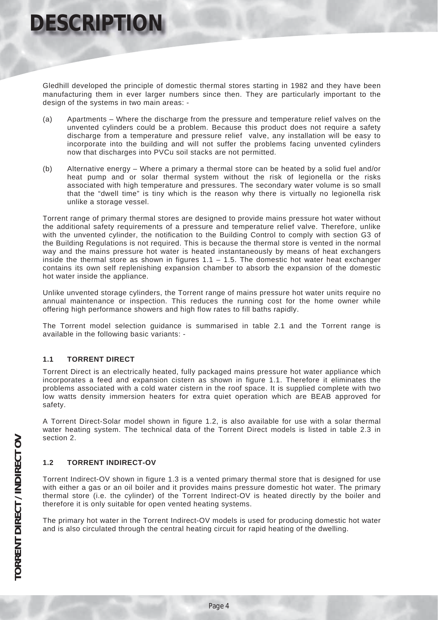Gledhill developed the principle of domestic thermal stores starting in 1982 and they have been manufacturing them in ever larger numbers since then. They are particularly important to the design of the systems in two main areas: -

- (a) Apartments Where the discharge from the pressure and temperature relief valves on the unvented cylinders could be a problem. Because this product does not require a safety discharge from a temperature and pressure relief valve, any installation will be easy to incorporate into the building and will not suffer the problems facing unvented cylinders now that discharges into PVCu soil stacks are not permitted.
- (b) Alternative energy Where a primary a thermal store can be heated by a solid fuel and/or heat pump and or solar thermal system without the risk of legionella or the risks associated with high temperature and pressures. The secondary water volume is so small that the "dwell time" is tiny which is the reason why there is virtually no legionella risk unlike a storage vessel.

Torrent range of primary thermal stores are designed to provide mains pressure hot water without the additional safety requirements of a pressure and temperature relief valve. Therefore, unlike with the unvented cylinder, the notification to the Building Control to comply with section G3 of the Building Regulations is not required. This is because the thermal store is vented in the normal way and the mains pressure hot water is heated instantaneously by means of heat exchangers inside the thermal store as shown in figures  $1.1 - 1.5$ . The domestic hot water heat exchanger contains its own self replenishing expansion chamber to absorb the expansion of the domestic hot water inside the appliance.

Unlike unvented storage cylinders, the Torrent range of mains pressure hot water units require no annual maintenance or inspection. This reduces the running cost for the home owner while offering high performance showers and high flow rates to fill baths rapidly.

The Torrent model selection guidance is summarised in table 2.1 and the Torrent range is available in the following basic variants: -

### **1.1 TORRENT DIRECT**

Torrent Direct is an electrically heated, fully packaged mains pressure hot water appliance which incorporates a feed and expansion cistern as shown in figure 1.1. Therefore it eliminates the problems associated with a cold water cistern in the roof space. It is supplied complete with two low watts density immersion heaters for extra quiet operation which are BEAB approved for safety.

A Torrent Direct-Solar model shown in figure 1.2, is also available for use with a solar thermal water heating system. The technical data of the Torrent Direct models is listed in table 2.3 in section 2.

### **1.2 TORRENT INDIRECT-OV**

Torrent Indirect-OV shown in figure 1.3 is a vented primary thermal store that is designed for use with either a gas or an oil boiler and it provides mains pressure domestic hot water. The primary thermal store (i.e. the cylinder) of the Torrent Indirect-OV is heated directly by the boiler and therefore it is only suitable for open vented heating systems.

The primary hot water in the Torrent Indirect-OV models is used for producing domestic hot water and is also circulated through the central heating circuit for rapid heating of the dwelling.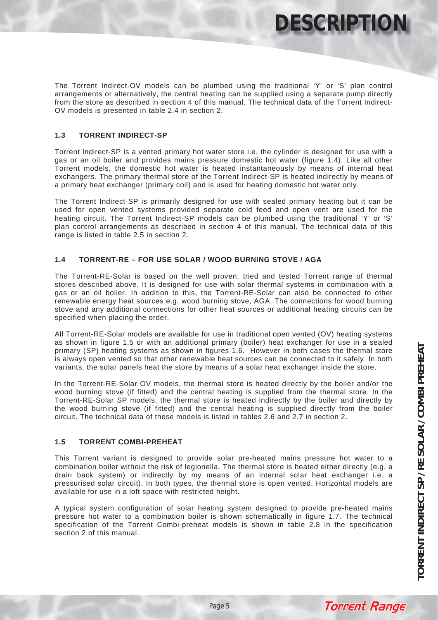**DESCRIPTIO** 

The Torrent Indirect-OV models can be plumbed using the traditional 'Y' or 'S' plan control arrangements or alternatively, the central heating can be supplied using a separate pump directly from the store as described in section 4 of this manual. The technical data of the Torrent Indirect-OV models is presented in table 2.4 in section 2.

### **1.3 TORRENT INDIRECT-SP**

Torrent Indirect-SP is a vented primary hot water store i.e. the cylinder is designed for use with a gas or an oil boiler and provides mains pressure domestic hot water (figure 1.4). Like all other Torrent models, the domestic hot water is heated instantaneously by means of internal heat exchangers. The primary thermal store of the Torrent Indirect-SP is heated indirectly by means of a primary heat exchanger (primary coil) and is used for heating domestic hot water only.

The Torrent Indirect-SP is primarily designed for use with sealed primary heating but it can be used for open vented systems provided separate cold feed and open vent are used for the heating circuit. The Torrent Indirect-SP models can be plumbed using the traditional 'Y' or 'S' plan control arrangements as described in section 4 of this manual. The technical data of this range is listed in table 2.5 in section 2.

### **1.4 TORRENT-RE – FOR USE SOLAR / WOOD BURNING STOVE / AGA**

The Torrent-RE-Solar is based on the well proven, tried and tested Torrent range of thermal stores described above. It is designed for use with solar thermal systems in combination with a gas or an oil boiler. In addition to this, the Torrent-RE-Solar can also be connected to other renewable energy heat sources e.g. wood burning stove, AGA. The connections for wood burning stove and any additional connections for other heat sources or additional heating circuits can be specified when placing the order.

All Torrent-RE-Solar models are available for use in traditional open vented (OV) heating systems as shown in figure 1.5 or with an additional primary (boiler) heat exchanger for use in a sealed primary (SP) heating systems as shown in figures 1.6. However in both cases the thermal store is always open vented so that other renewable heat sources can be connected to it safely. In both variants, the solar panels heat the store by means of a solar heat exchanger inside the store.

In the Torrent-RE-Solar OV models, the thermal store is heated directly by the boiler and/or the wood burning stove (if fitted) and the central heating is supplied from the thermal store. In the Torrent-RE-Solar SP models, the thermal store is heated indirectly by the boiler and directly by the wood burning stove (if fitted) and the central heating is supplied directly from the boiler circuit. The technical data of these models is listed in tables 2.6 and 2.7 in section 2.

### **1.5 TORRENT COMBI-PREHEAT**

This Torrent variant is designed to provide solar pre-heated mains pressure hot water to a combination boiler without the risk of legionella. The thermal store is heated either directly (e.g. a drain back system) or indirectly by my means of an internal solar heat exchanger i.e. a pressurised solar circuit). In both types, the thermal store is open vented. Horizontal models are available for use in a loft space with restricted height.

A typical system configuration of solar heating system designed to provide pre-heated mains pressure hot water to a combination boiler is shown schematically in figure 1.7. The technical specification of the Torrent Combi-preheat models is shown in table 2.8 in the specification section 2 of this manual.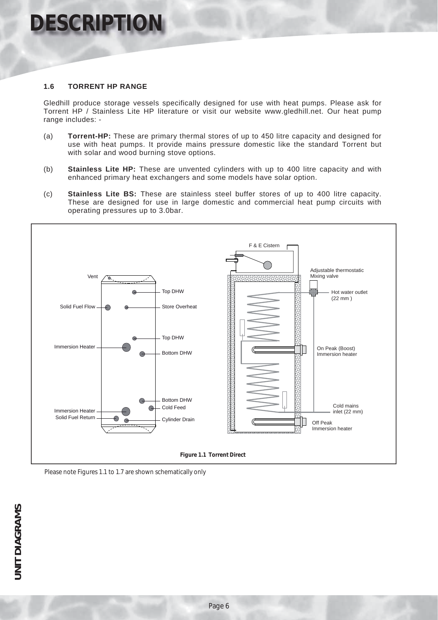# **DESCRIPTION**

### **1.6 TORRENT HP RANGE**

Gledhill produce storage vessels specifically designed for use with heat pumps. Please ask for Torrent HP / Stainless Lite HP literature or visit our website www.gledhill.net. Our heat pump range includes: -

- (a) **Torrent-HP:** These are primary thermal stores of up to 450 litre capacity and designed for use with heat pumps. It provide mains pressure domestic like the standard Torrent but with solar and wood burning stove options.
- (b) **Stainless Lite HP:** These are unvented cylinders with up to 400 litre capacity and with enhanced primary heat exchangers and some models have solar option.
- (c) **Stainless Lite BS:** These are stainless steel buffer stores of up to 400 litre capacity. These are designed for use in large domestic and commercial heat pump circuits with operating pressures up to 3.0bar.



Please note Figures 1.1 to 1.7 are shown schematically only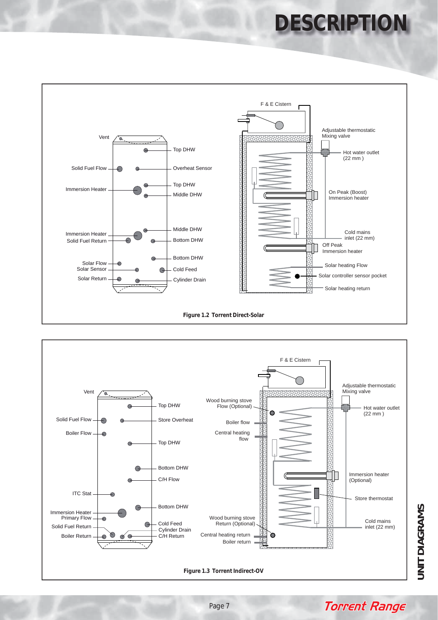# **DESCRIPTIO**





**JNIT DIAGRAMS UNIT DIAGRAMS**

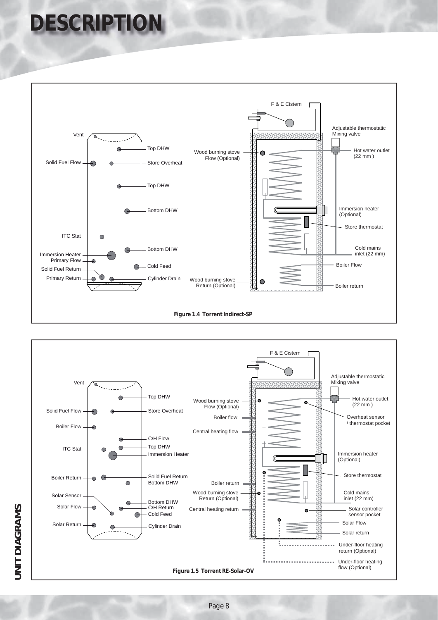# **DESCRIPTION**



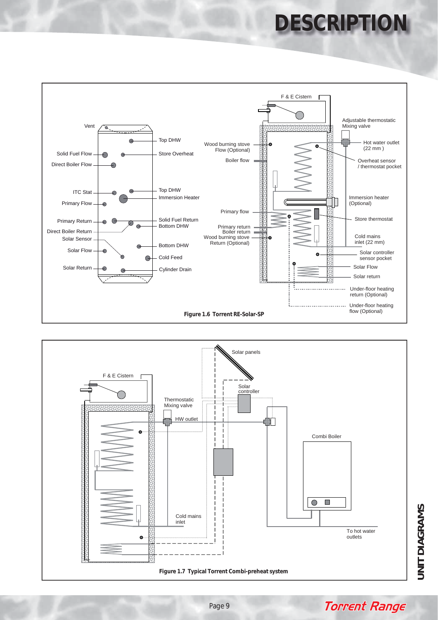# **DESCRIPTIO**





**JNIT DIAGRAMS UNIT DIAGRAMS**

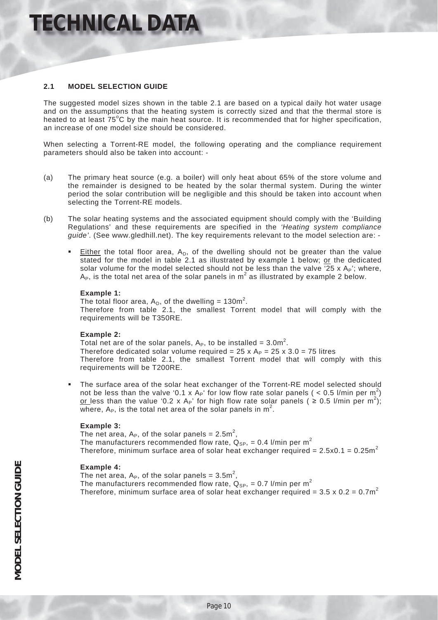### **TECHNICAL DATA**

### **2.1 MODEL SELECTION GUIDE**

The suggested model sizes shown in the table 2.1 are based on a typical daily hot water usage and on the assumptions that the heating system is correctly sized and that the thermal store is heated to at least  $75^{\circ}$ C by the main heat source. It is recommended that for higher specification, an increase of one model size should be considered.

When selecting a Torrent-RE model, the following operating and the compliance requirement parameters should also be taken into account: -

- (a) The primary heat source (e.g. a boiler) will only heat about 65% of the store volume and the remainder is designed to be heated by the solar thermal system. During the winter period the solar contribution will be negligible and this should be taken into account when selecting the Torrent-RE models.
- (b) The solar heating systems and the associated equipment should comply with the 'Building Regulations' and these requirements are specified in the *'Heating system compliance guide'*. (See www.gledhill.net). The key requirements relevant to the model selection are: -
	- Either the total floor area,  $A_D$ , of the dwelling should not be greater than the value stated for the model in table 2.1 as illustrated by example 1 below; or the dedicated solar volume for the model selected should not be less than the valve '25 x  $A_P$ '; where,  $A_{P}$ , is the total net area of the solar panels in  $m^{2}$  as illustrated by example 2 below.

### **Example 1:**

The total floor area,  $A_D$ , of the dwelling = 130m<sup>2</sup>. Therefore from table 2.1, the smallest Torrent model that will comply with the requirements will be T350RE.

### **Example 2:**

Total net are of the solar panels,  $A_P$ , to be installed =  $3.0$ m<sup>2</sup>. Therefore dedicated solar volume required =  $25 \times A<sub>P</sub>$  =  $25 \times 3.0 = 75$  litres Therefore from table 2.1, the smallest Torrent model that will comply with this requirements will be T200RE.

 The surface area of the solar heat exchanger of the Torrent-RE model selected should not be less than the valve '0.1 x A<sub>P</sub>' for low flow rate solar panels ( < 0.5 l/min per m<sup>2</sup>) <u>or l</u>ess than the value '0.2 x A<sub>P</sub>' for high flow rate solar panels (  $\geq$  0.5 l/min per m<sup>2</sup>); where,  $A_P$ , is the total net area of the solar panels in  $m^2$ .

### **Example 3:**

The net area,  $A_P$ , of the solar panels = 2.5m<sup>2</sup>, The manufacturers recommended flow rate,  $Q_{SP}$ , = 0.4 l/min per m<sup>2</sup> Therefore, minimum surface area of solar heat exchanger required =  $2.5 \times 0.1 = 0.25$ m<sup>2</sup>

### **Example 4:**

The net area,  $A_P$ , of the solar panels =  $3.5m^2$ , The manufacturers recommended flow rate,  $Q_{SP}$ , = 0.7 l/min per m<sup>2</sup> Therefore, minimum surface area of solar heat exchanger required =  $3.5 \times 0.2 = 0.7$ m<sup>2</sup>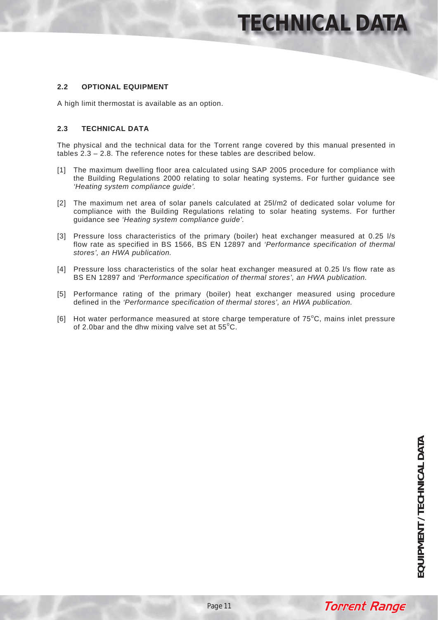### **TECHNICAL DATA**

### **2.2 OPTIONAL EQUIPMENT**

A high limit thermostat is available as an option.

### **2.3 TECHNICAL DATA**

The physical and the technical data for the Torrent range covered by this manual presented in tables 2.3 – 2.8. The reference notes for these tables are described below.

- [1] The maximum dwelling floor area calculated using SAP 2005 procedure for compliance with the Building Regulations 2000 relating to solar heating systems. For further guidance see *'Heating system compliance guide'.*
- [2] The maximum net area of solar panels calculated at 25l/m2 of dedicated solar volume for compliance with the Building Regulations relating to solar heating systems. For further guidance see *'Heating system compliance guide'.*
- [3] Pressure loss characteristics of the primary (boiler) heat exchanger measured at 0.25 l/s flow rate as specified in BS 1566, BS EN 12897 and *'Performance specification of thermal stores', an HWA publication.*
- [4] Pressure loss characteristics of the solar heat exchanger measured at 0.25 l/s flow rate as BS EN 12897 and *'Performance specification of thermal stores', an HWA publication.*
- [5] Performance rating of the primary (boiler) heat exchanger measured using procedure defined in the *'Performance specification of thermal stores', an HWA publication.*
- [6] Hot water performance measured at store charge temperature of  $75^{\circ}$ C, mains inlet pressure of 2.0bar and the dhw mixing valve set at  $55^{\circ}$ C.

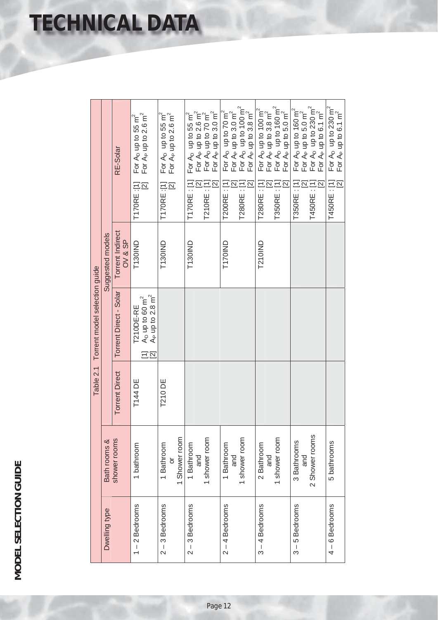|  |  | <b>TECHNICAL DATA</b> |  |
|--|--|-----------------------|--|
|  |  |                       |  |

|                  |                                      |                       | Table 2.1 Torrent model selection guide                                                              |                             |                                                                                                                                                                                                                                                |
|------------------|--------------------------------------|-----------------------|------------------------------------------------------------------------------------------------------|-----------------------------|------------------------------------------------------------------------------------------------------------------------------------------------------------------------------------------------------------------------------------------------|
| Dwelling type    | Bath rooms &                         |                       |                                                                                                      | Suggested models            |                                                                                                                                                                                                                                                |
|                  | shower rooms                         | <b>Torrent Direct</b> | Torrent Direct - Solar                                                                               | Torrent Indirect<br>OV & SP | RE-Solar                                                                                                                                                                                                                                       |
| $1 - 2$ Bedrooms | 1 bathroom                           | T144 DE               | A <sub>P</sub> up to 2.8 $m^2$<br>$A_D$ up to 60 m <sup>2</sup><br>T210DE-RE<br>$\Xi \overline{\Xi}$ | T130IND                     | For $A_P$ up to 2.6 m <sup>2</sup><br>For A <sub>D</sub> up to 55 m <sup>2</sup><br>T170RE :[1]<br>$\Xi$                                                                                                                                       |
| $2 - 3$ Bedrooms | 1 Shower room<br>1 Bathroom<br>ŏ     | <b>T210 DE</b>        |                                                                                                      | T130IND                     | For A <sub>p</sub> up to 55 m <sup>2</sup><br>For $A_P$ up to 2.6 $m^2$<br>T170RE :[1]<br>$\Xi$                                                                                                                                                |
| $2 - 3$ Bedrooms | 1 shower room<br>1 Bathroom<br>and   |                       |                                                                                                      | <b>T130IND</b>              | For A <sub>P</sub> up to 2.6 m <sup>2</sup><br>For A <sub>D</sub> up to 70 m <sup>2</sup><br>For A <sub>P</sub> up to 3.0 m <sup>2</sup><br>For $A_D$ up to 55 m <sup>2</sup><br>T170RE: [1]<br>7210RE : [1]<br>$\boxed{2}$                    |
| $2 - 4$ Bedrooms | 1 shower room<br>1 Bathroom<br>and   |                       |                                                                                                      | T170IND                     | For A <sub>D</sub> up to 100 m <sup>2</sup><br>For A <sub>P</sub> up to 3.8 m <sup>2</sup><br>For A <sub>p</sub> up to 70 m <sup>2</sup><br>For A <sub>p</sub> up to 3.0 m <sup>2</sup><br>T200RE: [1]<br>$\boxed{2}$<br>$[2]$<br>T280RE : [1] |
| $3 - 4$ Bedrooms | 1 shower room<br>2 Bathroom<br>and   |                       |                                                                                                      | <b>T210IND</b>              | For A <sub>D</sub> up to 160 $\mathrm{m}^2$<br>For A <sub>D</sub> up to 100 $m^2$<br>For A <sub>P</sub> up to 3.8 $m^2$<br>For A <sub>P</sub> up to 5.0 m <sup>2</sup><br>T280RE : [1]<br>T350RE : [1]<br>$\overline{2}$                       |
| $3 - 5$ Bedrooms | 2 Shower rooms<br>3 Bathrooms<br>and |                       |                                                                                                      |                             | For A <sub>P</sub> up to 5.0 m <sup>2</sup><br>For A <sub>D</sub> up to 230 m <sup>2</sup><br>For A <sub>P</sub> up to 6.1 m <sup>2</sup><br>For A <sub>D</sub> up to 160 m <sup>2</sup><br>T350RE: [1]<br>[2]<br>T450RE : [1]<br>$\Xi$        |
| $4 - 6$ Bedrooms | 5 bathrooms                          |                       |                                                                                                      |                             | For A <sub>D</sub> up to 230 $m^2$<br>For A <sub>P</sub> up to 6.1 $m^2$<br>$\overline{\mathbb{Z}}$<br>T450RE: [1]                                                                                                                             |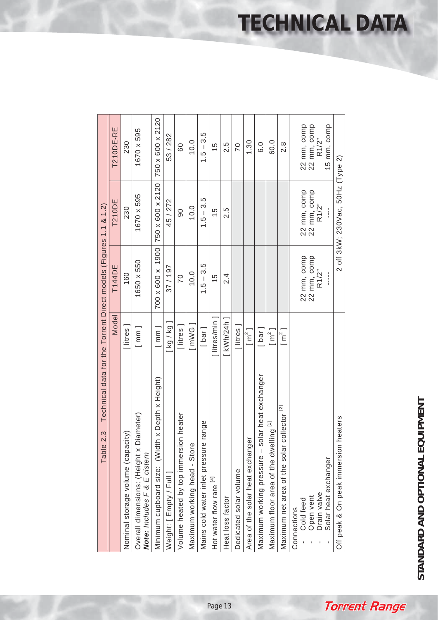| Table 2.3                                                                  |                     | Technical data for the Torrent Direct models (Figures 1.1 & 1.2) |                                            |                                     |
|----------------------------------------------------------------------------|---------------------|------------------------------------------------------------------|--------------------------------------------|-------------------------------------|
|                                                                            | Model               | <b>T144DE</b>                                                    | <b>T210DE</b>                              | T210DE-RE                           |
| Nominal storage volume (capacity)                                          | [litres]            | 160                                                              | 230                                        | 230                                 |
| Diameter)<br>Overall dimensions: (Height x<br>Note: Includes F & E cistern | [mm]                | 1650 x 550                                                       | 1670 x 595                                 | 1670 x 595                          |
| th x Depth x Height)<br>Minimum cupboard size: (Wid                        | [mm]                | $700 \times 600 \times 1900$                                     | 750 x 600 x 2120                           | 750 x 600 x 2120                    |
| Weight: [Empty / Full]                                                     | [ kg / kg ]         | 37/197                                                           | 45 / 272                                   | 53/282                              |
| on heater<br>Volume heated by top immersi                                  | $[$ litres $]$      | 70                                                               | $\overline{0}$                             | 60                                  |
| Maximum working head - Store                                               | [mWG]               | 10.0                                                             | 10.0                                       | 10.0                                |
| Mains cold water inlet pressure range                                      | [ bar ]             | $1.5 - 3.5$                                                      | $1.5 - 3.5$                                | $1.5 - 3.5$                         |
| Hot water flow rate [4]                                                    | litres/min]         | $\frac{5}{1}$                                                    | $\frac{5}{1}$                              | 15                                  |
| Heat loss factor                                                           | $[$ kWh/24h $]$     | $\frac{4}{2}$                                                    | 2.5                                        | 2.5                                 |
| Dedicated solar volume                                                     | [litres]            |                                                                  |                                            | $\overline{C}$                      |
| Area of the solar heat exchanger                                           | $\lceil m^2 \rceil$ |                                                                  |                                            | 1.30                                |
| Maximum working pressure - solar heat exchanger                            | [ bar ]             |                                                                  |                                            | $\frac{0}{6}$                       |
| Maximum floor area of the dwelling [1]                                     | $\lceil m^2 \rceil$ |                                                                  |                                            | 60.0                                |
| collector <sup>[2]</sup><br>Maximum net area of the solar                  | $\lceil m^2 \rceil$ |                                                                  |                                            | 8.i                                 |
| Cold feed<br>Connections                                                   |                     |                                                                  |                                            |                                     |
| Open vent<br>Drain valve                                                   |                     | $22$ mm, comp<br>$22$ mm, comp<br>$R1/2$ "                       | $22$ mm, comp<br>$22$ mm, comp<br>$R1/2$ " | 22 mm, comp<br>22 mm, comp<br>R1/2" |
| Solar heat exchanger                                                       |                     |                                                                  |                                            | 15 mm, comp                         |
| Off peak & On peak immersion heaters                                       |                     |                                                                  | 2 off 3kW; 230Vac, 50Hz (Type 2)           |                                     |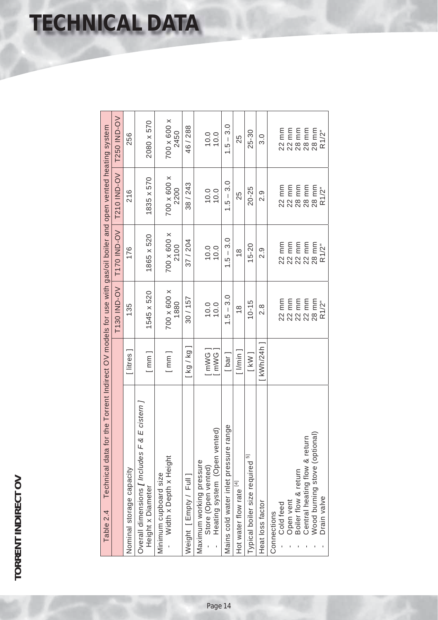|  | <b>TECHNICAL DATA</b> |  |
|--|-----------------------|--|
|  |                       |  |

| Technical data for the Torrent Indirect OV models for use with gas/oil boiler and open vented heating system<br>Table 2.4 |                  |                     |                                  |                                                        |                     |
|---------------------------------------------------------------------------------------------------------------------------|------------------|---------------------|----------------------------------|--------------------------------------------------------|---------------------|
|                                                                                                                           |                  | <b>T130 IND-OV</b>  | <b>T170 IND-OV</b>               | <b>T210 IND-OV</b>                                     | <b>T250 IND-OV</b>  |
| Nominal storage capacity                                                                                                  | [litres          | 135                 | 176                              | 216                                                    | 256                 |
| & E cistern J<br>Overall dimensions [Includes F<br>Height x Diameter                                                      | [mm]             | 1545 x 520          | 1865 x 520                       | 1835 x 570                                             | 2080 x 570          |
| Width x Depth x Height<br>Minimum cupboard size                                                                           | [mm]             | 700 x 600 x<br>1880 | 700 x 600 x<br>2100              | 700 x 600 x<br>2200                                    | 700 x 600 x<br>2450 |
| Weight [Empty / Full]                                                                                                     | [ kg / kg ]      | 30/157              | 37/204                           | 38 / 243                                               | 46/288              |
| Heating system (Open vented)<br>Maximum working pressure<br>Store (Open vented)<br>ï                                      | [mWG]<br>[mWG]   | 0.010               | 0.000                            | 0.0000                                                 | 0.0000              |
| range<br>Mains cold water inlet pressure                                                                                  | $[$ bar $]$      | $1.5 - 3.0$         | $1.5 - 3.0$                      | $1.5 - 3.0$                                            | $1.5 - 3.0$         |
| Hot water flow rate [4]                                                                                                   | $[$ $l$ /min $]$ | $\frac{8}{1}$       | $\frac{8}{1}$                    | 25                                                     | 25                  |
| 5<br>Typical boiler size required                                                                                         | $[$ kW $]$       | $10 - 15$           | $15 - 20$                        | 20-25                                                  | 25-30               |
| Heat loss factor                                                                                                          | kWh/24h          | $\frac{8}{2}$       | 0.<br>2                          | 0.9                                                    | 0<br>თ              |
| Cold feed<br>Connections                                                                                                  |                  |                     | 22 mm                            |                                                        |                     |
| Open vent                                                                                                                 |                  |                     |                                  | E E E E E<br>E E E E E<br>2 2 3 8 8 8<br>2 3 8 8 9 8 1 |                     |
| Boiler flow & return                                                                                                      |                  |                     | 22 MM<br>22 MM<br>22 MM<br>28 MM |                                                        |                     |
|                                                                                                                           |                  |                     |                                  |                                                        |                     |
| Central heating flow & return<br>Wood burning stove (optional)                                                            |                  |                     |                                  |                                                        |                     |
| Drain valve                                                                                                               |                  | R1/2"               | R1/2"                            | R1/2"                                                  | R1/2"               |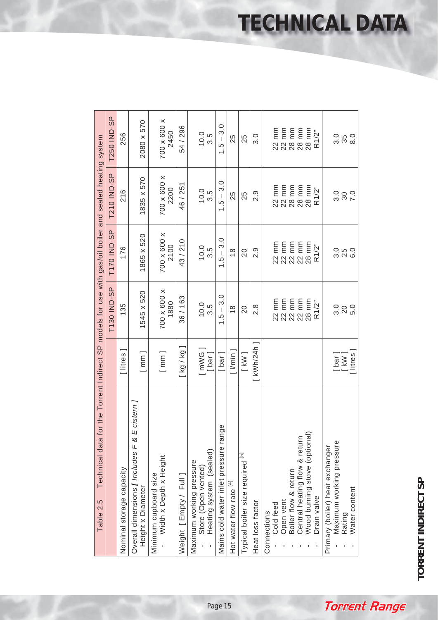|                                                                                                                      | <b>T250 IND-SP</b> | 256                      | 2080 x 570                                                           | 700 x 600 x<br>2450                             | 54 / 296              | $10.5$<br>$3.5$                                                                 | $1.5 - 3.0$                              | 25                           | 25                               | 3.0                       |                                       |                      |                               | 22 MHZ<br>23 MHZ<br>24 MHZ<br>28 MHZ<br>24 MHZ |                                                             | 0<br>0<br>0<br>0<br>0<br>0<br>0<br>0<br>0 |
|----------------------------------------------------------------------------------------------------------------------|--------------------|--------------------------|----------------------------------------------------------------------|-------------------------------------------------|-----------------------|---------------------------------------------------------------------------------|------------------------------------------|------------------------------|----------------------------------|---------------------------|---------------------------------------|----------------------|-------------------------------|------------------------------------------------|-------------------------------------------------------------|-------------------------------------------|
|                                                                                                                      | <b>T210 IND-SP</b> | 216                      | 1835 x 570                                                           | 700 x 600 x<br>2200                             | 46 / 251              | $0.0$<br>$3.5$                                                                  | $1.5 - 3.0$                              | 25                           | 25                               | 2.9                       | 22 mm<br>22 mm<br>28 mm               |                      |                               | 28 mm<br>28 mm<br>R1/2"                        |                                                             |                                           |
|                                                                                                                      | <b>T170 IND-SP</b> | 176                      | 1865 x 520                                                           | 700 x 600 x<br>2100                             | 43/210                | $10.5$<br>$3.5$                                                                 | 3.0<br>$1.5 -$                           | $\frac{8}{1}$                | 20                               | 2.9                       | $22$ mm<br>$22$ mm                    |                      | $\frac{22}{22}$ mm            | $28 \, \text{mm}$ R1/ $2^{\degree}$            |                                                             | 0.<br>0. 5<br>0. 9<br>6.0                 |
|                                                                                                                      | T130 IND-SP        | 135                      | 1545 x 520                                                           | 700 x 600 x<br>1880                             | 36 / 163              | $10.5$<br>$3.5$                                                                 | 3.0<br>$1.5 -$                           | $\frac{8}{1}$                | 20                               | $\frac{8}{2}$             | 22 mm<br>23 mm<br>24 mm<br>24 mm      |                      |                               | $28 \, \text{mm}$ R1/ $2^{\degree}$            | 3.0                                                         | 5.0<br>$20$                               |
|                                                                                                                      |                    | [ litres                 | [mm]                                                                 | [mm]                                            | [kg / kg]             | [mWG]<br>[bar]                                                                  | [ bar ]                                  | $[$ $\sqrt{m}$ in $\sqrt{m}$ | $[$ kW $]$                       | $\lceil$ kWh/24h $\rceil$ |                                       |                      |                               |                                                |                                                             | [ bar ]<br>[ kW ]<br>[ litres ]           |
| Technical data for the Torrent Indirect SP models for use with gas/oil boiler and sealed heating system<br>Table 2.5 |                    | Nominal storage capacity | & E cistern ]<br>Overall dimensions [Includes F<br>Height x Diameter | Width x Depth x Height<br>Minimum cupboard size | Weight [Empty / Full] | Heating system (sealed)<br>Maximum working pressure<br>Store (Open vented)<br>ï | range<br>Mains cold water inlet pressure | Hot water flow rate [4]      | Typical boiler size required [5] | Heat loss factor          | Open vent<br>Cold feed<br>Connections | Boiler flow & return | Central heating flow & return | Wood burning stove (optional)<br>Drain valve   | Maximum working pressure<br>Primary (boiler) heat exchanger | Water content<br>Rating                   |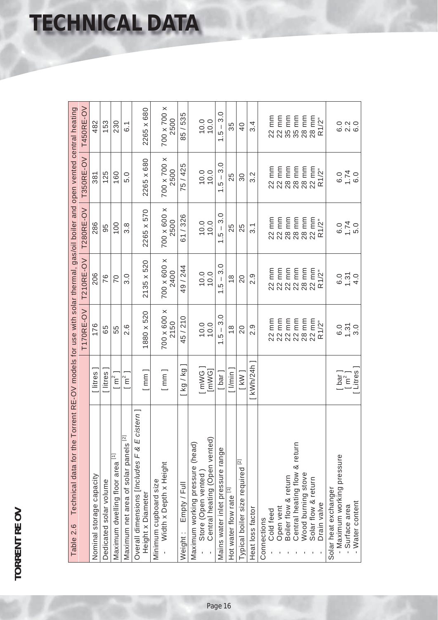|  | <b>TECHNICAL DATA</b> |  |  |
|--|-----------------------|--|--|
|  |                       |  |  |

| Technical data for the T<br>Table 2.6                                                      |                                                               |                                                               | orrent RE-OV models for use with solar thermal, gas/oil boiler and open vented central heating |                                            |                     |                                             |
|--------------------------------------------------------------------------------------------|---------------------------------------------------------------|---------------------------------------------------------------|------------------------------------------------------------------------------------------------|--------------------------------------------|---------------------|---------------------------------------------|
|                                                                                            |                                                               | T170RE-OV                                                     | T210RE-OV                                                                                      | T280RE-OV                                  | <b>T350RE-OV</b>    | T450RE-OV                                   |
| Nominal storage capacity                                                                   | litres                                                        | 176                                                           | 206                                                                                            | 286                                        | 381                 | 482                                         |
| Dedicated solar volume                                                                     | [litres]                                                      | 65                                                            | 76                                                                                             | 95                                         | 125                 | 153                                         |
| Maximum dwelling floor area [1]                                                            | $\lceil m^2 \rceil$                                           | 55                                                            | 20                                                                                             | 100                                        | 160                 | 230                                         |
| Maximum net area of solar panels [2]                                                       | $\overline{m}^2$ ]                                            | 2.6                                                           | $\frac{0}{3}$                                                                                  | 3.8                                        | 5.0                 | $\overline{6}$ 1                            |
| Overall dimensions [Includes F & E cistern]<br>Height x Diameter                           | [mm]                                                          | 1880 x 520                                                    | 2135 x 520                                                                                     | 2265 x 570                                 | 2265 x 680          | 2265 x 680                                  |
| Width x Depth x Height<br>Minimum cupboard size                                            | [mm]                                                          | X 009 x 007<br>2150                                           | 700 x 600 x<br>2400                                                                            | 700 x 600 x<br>2500                        | X 002 X 002<br>2500 | X 002 X 002<br>2500                         |
| Empty / Full<br>Weight:                                                                    | kq / kg                                                       | 45/210                                                        | 49 / 244                                                                                       | 61/326                                     | 75 / 425            | 85 / 535                                    |
| Central heating (Open vented)<br>(head)<br>Maximum working pressure<br>Store (Open vented) | $\begin{bmatrix} \text{imWG} \\ \text{imWG} \end{bmatrix}$    | 0.0000                                                        | 0.010                                                                                          | 0.010                                      | 0.00                | 0.010                                       |
| Mains water inlet pressure range                                                           | [ bar ]                                                       | 3.0<br>$\begin{array}{c} \end{array}$<br>ć,<br>$\overline{ }$ | 3.0<br>$\overline{\phantom{a}}$<br>$\frac{5}{1}$                                               | 3.0<br>$\,$ $\,$<br>$\frac{5}{1}$          | 3.0<br>$-5 -$       | 3.0<br>$\,$ $\,$<br>$\frac{5}{1}$           |
| Hot water flow rate [1]                                                                    | $1/m$ in                                                      | $\frac{8}{1}$                                                 | $\frac{8}{1}$                                                                                  | 25                                         | 25                  | 35                                          |
| $\overline{z}$<br>Typical boiler size required                                             | $[$ kW $]$                                                    | $\overline{20}$                                               | $\overline{20}$                                                                                | 25                                         | 30                  | $\overline{0}$                              |
| Heat loss factor                                                                           | $\left[\frac{\text{kWh}}{24h}\right]$                         | 0.<br>2                                                       | 0.<br>2                                                                                        | $\overline{3}$ .                           | $3.\overline{2}$    | 3.4                                         |
| Cold feed<br>Connections                                                                   |                                                               |                                                               |                                                                                                |                                            |                     |                                             |
| Open vent                                                                                  |                                                               |                                                               |                                                                                                |                                            |                     |                                             |
| Boiler flow & return                                                                       |                                                               | 22 mm<br>23 mm<br>24 22 mm<br>24 22 mm                        | EEEEEEE<br>SEEEEEE<br>SANNAR                                                                   | EEEEEEE<br>SEEEEEE<br>22<br>23<br>23<br>23 |                     | EE E E E E<br>23 E E E E E<br>34 S S S S 28 |
| Central heating flow & return                                                              |                                                               |                                                               |                                                                                                |                                            |                     |                                             |
| Wood burning stove                                                                         |                                                               | 28 mm                                                         |                                                                                                |                                            |                     |                                             |
| Solar flow & return<br>Drain valve                                                         |                                                               | 22 mm<br>R1/2"                                                | R1/2"                                                                                          | R1/2"                                      | R1/2"               | 28 mm<br>R1/2"                              |
| - Maximum working pressure<br>Solar heat exchanger<br>- Surface area                       | $\begin{bmatrix} \mathsf{bar} \\ \mathsf{Im}^2 \end{bmatrix}$ | $1.31$<br>$3.0$<br>6.0                                        | $1.\overline{3}$<br>4.0<br>0.6                                                                 | $1.74$<br>5.0<br>0.6                       | $0.50$<br>$0.70$    | 0 N 0<br>6 N 6                              |
| Water content                                                                              |                                                               |                                                               |                                                                                                |                                            |                     |                                             |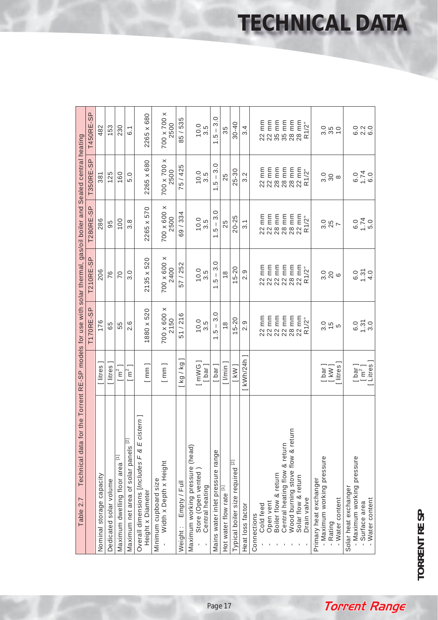|                                                                                                    | <b>T450RE-SP</b> | 482                      | 153                    | 230                                             | $\overline{6}$ .                                | 2265 x 680                                                          | X 002 X 002<br>2500                             | 85 / 535                | $10.0$<br>3.5                                                            | 3.0<br>$\begin{array}{c} \hline \end{array}$<br>LQ.<br>$\overline{ }$ | 35                      | $30 - 40$                        | 3.4              | 22 MM<br>23 MM<br>24 MM<br>35 MM      |                                                       | 28 mm<br>$28 \, \text{mm}$ R1/ $2^{\degree}$                |             |                                                      | 0<br>0<br>0<br>0<br>0<br>0<br>0 | 0 N 0<br>6 N 0                                                                      |
|----------------------------------------------------------------------------------------------------|------------------|--------------------------|------------------------|-------------------------------------------------|-------------------------------------------------|---------------------------------------------------------------------|-------------------------------------------------|-------------------------|--------------------------------------------------------------------------|-----------------------------------------------------------------------|-------------------------|----------------------------------|------------------|---------------------------------------|-------------------------------------------------------|-------------------------------------------------------------|-------------|------------------------------------------------------|---------------------------------|-------------------------------------------------------------------------------------|
|                                                                                                    | <b>T350RE-SP</b> | 381                      | 125                    | 160                                             | 5.0                                             | 2265 x 680                                                          | X 002 X 002<br>2500                             | 5/425                   | $10.0$<br>$3.5$                                                          | 3.0<br>$\begin{array}{c} \end{array}$<br><u>ي</u><br>$\overline{ }$   | 25                      | $25 - 30$                        | 3.2              | 22 mm<br>22 mm<br>28 mm               | 28 mm                                                 | 28 mm<br>$22$ mm<br>R1/ $2$ "                               |             |                                                      | ್ಲ <sub>ಇ</sub> ಹಿ              | $0.50$<br>$0.70$<br>$0.9$                                                           |
|                                                                                                    | <b>T280RE-SP</b> | 286                      | 95                     | 100                                             | $3.\overline{8}$                                | 2265 x 570                                                          | X009 x 007<br>2500                              | 69 / 334                | $10.5$<br>3.5                                                            | 3.0<br>$\mathsf I$<br>LQ.<br>$\overline{ }$                           | 25                      | $20 - 25$                        | $\overline{3}.1$ | 22 MM<br>23 MM<br>28 MM<br>28 MM      |                                                       | 28 mm<br>22 mm                                              | R1/2"       |                                                      | 3.87<br>25                      | $0.70$<br>$-5.0$                                                                    |
| for the Torrent RE-SP models for use with solar thermal, gas/oil boiler and Sealed central heating | <b>T210RE-SP</b> | 206                      | 76                     | 70                                              | 3.0                                             | 2135 x 520                                                          | X009 x 007<br>2400                              | 57 / 252                | $10.0$<br>3.5                                                            | 3.0<br>$\begin{array}{c} \hline \end{array}$<br>LQ.<br>$\overline{ }$ | $\frac{8}{1}$           | $15 - 20$                        | 2.9              | 22 mm<br>22 mm<br>22 mm<br>22 mm      |                                                       | 28 mm<br>22 mm                                              | R1/2"       | $3.0$<br>20                                          | $\circ$                         | $0, 2, 0$<br>$0, 2, 0$<br>$0, 2, 0$                                                 |
|                                                                                                    | <b>T170RE-SP</b> | 176                      | 65                     | 55                                              | 2.6                                             | 1880 x 520                                                          | X009 x 007<br>2150                              | 51/216                  | $10.0$<br>$3.5$                                                          | 3.0<br>$\begin{array}{c} \hline \end{array}$<br>LQ.<br>$\overline{ }$ | $\frac{8}{1}$           | $15 - 20$                        | 2.9              | 22 mm<br>22 mm<br>22 mm<br>22 mm      |                                                       | 28 mm<br>22 mm                                              | R1/2"       |                                                      | 3.5<br>3.5<br>3.5               | $0.50$<br>$-3.0$                                                                    |
|                                                                                                    |                  | [ litres                 | litres                 | $\left[\begin{array}{c} m^2 \end{array}\right]$ | $m2$ ]                                          | [mm]                                                                | [mm]                                            | [kg/kg                  | [mWG<br>$[$ bar $]$                                                      | [ bar ]                                                               | · I/min                 | $[$ kW $]$                       | [ kWh/24h ]      |                                       |                                                       |                                                             |             |                                                      | [ bar ]<br>[ kW ]<br>litres     | $\begin{bmatrix} \n\text{bar} \\ \n\text{m}^2 \\ \n\text{litres} \n\end{bmatrix}$   |
| Technical data<br>Table 2.7                                                                        |                  | Nominal storage capacity | Dedicated solar volume | Maximum dwelling floor area [1]                 | Maximum net area of solar panels <sup>[2]</sup> | cistern]<br>Overall dimensions [Includes F & E<br>Height x Diameter | Width x Depth x Height<br>Minimum cupboard size | Empty / Full<br>Weight: | Maximum working pressure (head)<br>Store (Open vented<br>Central heating | Mains water inlet pressure range                                      | Hot water flow rate [1] | Typical boiler size required [2] | Heat loss factor | Open vent<br>Cold feed<br>Connections | Central heating flow & return<br>Boiler flow & return | urn<br>Wood burning stove flow & ret<br>Solar flow & return | Drain valve | - Maximum working pressure<br>Primary heat exchanger | - Water content<br>- Rating     | - Maximum working pressure<br>Solar heat exchanger<br>Water content<br>Surface area |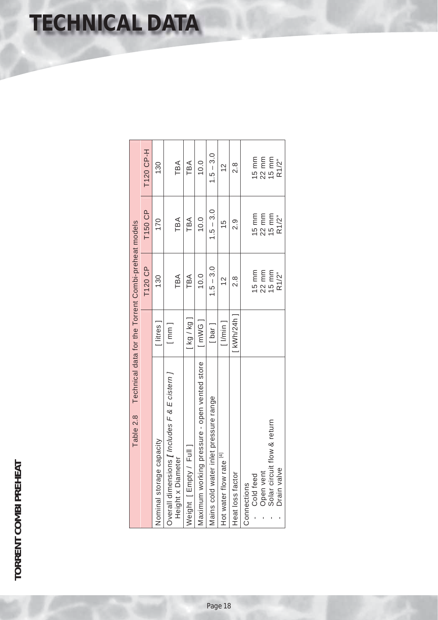# **TORRENT COMBI PREHEAT TORRENT COMBI PREHEAT**

| Table 2.8                                                                 |                             | Technical data for the Torrent Combi-preheat models |                 |                   |
|---------------------------------------------------------------------------|-----------------------------|-----------------------------------------------------|-----------------|-------------------|
|                                                                           |                             | T120 CP                                             | T150 CP         | T120 CP-H         |
| capacity<br>Nominal storage                                               | litres                      | 130                                                 | 170             | 130               |
| Overall dimensions $I$ Includes $F$ & $E$ cistem $I$<br>Height x Diameter | $\lceil \mathsf{mm} \rceil$ | TBA                                                 | TBA             | TBA               |
| Full 1<br>Neight [Empty/                                                  | [kg/kg]                     | TBA                                                 | TBA             | TBA               |
| Maximum working pressure - open vented store                              | $[$ mWG $]$                 | 10.0                                                | 10.0            | 10.0              |
| inlet pressure range<br>Mains cold water                                  | [ bar ]                     | $1.5 - 3.0$                                         | $1.5 - 3.0$     | $1.5 - 3.0$       |
| Hot water flow rate [4]                                                   | $1$ /min $1$                | $\frac{2}{1}$                                       | 15              | $\frac{2}{3}$     |
| Heat loss factor                                                          | <b>KWh/24h</b> 1            | 8.S                                                 | .<br>2          | 8.S               |
| Cold feed<br>Connections                                                  |                             | $15 \text{ mm}$                                     | $15 \text{ mm}$ | 15 $mm$           |
| Open vent                                                                 |                             | 22 mm                                               | $22$ mm         | 22 mm             |
| Solar circuit flow & return                                               |                             | $15 \text{ mm}$                                     | $15 \text{ mm}$ | $15 \, \text{mm}$ |
| Drain valve                                                               |                             | R1/2"                                               | R1/2"           | R1/2"             |

**TECHNICAL DATA**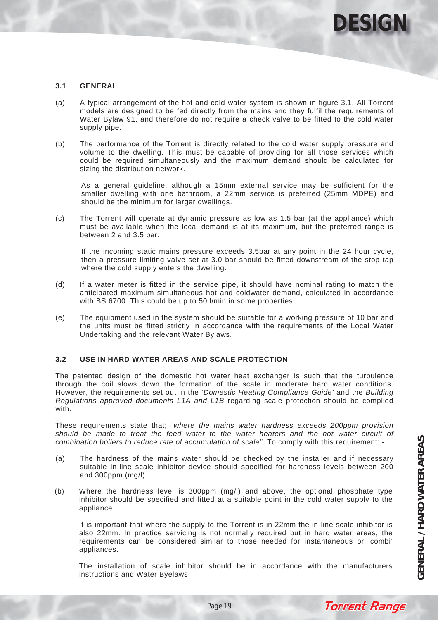

### **3.1 GENERAL**

- (a) A typical arrangement of the hot and cold water system is shown in figure 3.1. All Torrent models are designed to be fed directly from the mains and they fulfil the requirements of Water Bylaw 91, and therefore do not require a check valve to be fitted to the cold water supply pipe.
- (b) The performance of the Torrent is directly related to the cold water supply pressure and volume to the dwelling. This must be capable of providing for all those services which could be required simultaneously and the maximum demand should be calculated for sizing the distribution network.

As a general guideline, although a 15mm external service may be sufficient for the smaller dwelling with one bathroom, a 22mm service is preferred (25mm MDPE) and should be the minimum for larger dwellings.

(c) The Torrent will operate at dynamic pressure as low as 1.5 bar (at the appliance) which must be available when the local demand is at its maximum, but the preferred range is between 2 and 3.5 bar.

If the incoming static mains pressure exceeds 3.5bar at any point in the 24 hour cycle, then a pressure limiting valve set at 3.0 bar should be fitted downstream of the stop tap where the cold supply enters the dwelling.

- (d) If a water meter is fitted in the service pipe, it should have nominal rating to match the anticipated maximum simultaneous hot and coldwater demand, calculated in accordance with BS 6700. This could be up to 50 l/min in some properties.
- (e) The equipment used in the system should be suitable for a working pressure of 10 bar and the units must be fitted strictly in accordance with the requirements of the Local Water Undertaking and the relevant Water Bylaws.

### **3.2 USE IN HARD WATER AREAS AND SCALE PROTECTION**

The patented design of the domestic hot water heat exchanger is such that the turbulence through the coil slows down the formation of the scale in moderate hard water conditions. However, the requirements set out in the *'Domestic Heating Compliance Guide'* and the *Building Regulations approved documents L1A and L1B* regarding scale protection should be complied with.

These requirements state that; *"where the mains water hardness exceeds 200ppm provision should be made to treat the feed water to the water heaters and the hot water circuit of combination boilers to reduce rate of accumulation of scale".* To comply with this requirement: -

- (a) The hardness of the mains water should be checked by the installer and if necessary suitable in-line scale inhibitor device should specified for hardness levels between 200 and 300ppm (mg/l).
- (b) Where the hardness level is 300ppm (mg/l) and above, the optional phosphate type inhibitor should be specified and fitted at a suitable point in the cold water supply to the appliance.

It is important that where the supply to the Torrent is in 22mm the in-line scale inhibitor is also 22mm. In practice servicing is not normally required but in hard water areas, the requirements can be considered similar to those needed for instantaneous or 'combi' appliances.

The installation of scale inhibitor should be in accordance with the manufacturers instructions and Water Byelaws.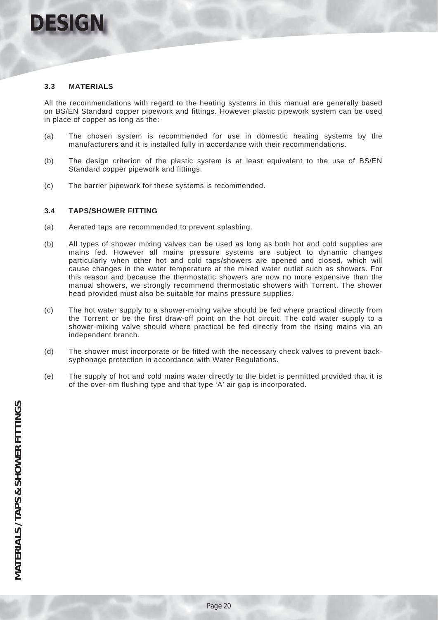

### **3.3 MATERIALS**

All the recommendations with regard to the heating systems in this manual are generally based on BS/EN Standard copper pipework and fittings. However plastic pipework system can be used in place of copper as long as the:-

- (a) The chosen system is recommended for use in domestic heating systems by the manufacturers and it is installed fully in accordance with their recommendations.
- (b) The design criterion of the plastic system is at least equivalent to the use of BS/EN Standard copper pipework and fittings.
- (c) The barrier pipework for these systems is recommended.

### **3.4 TAPS/SHOWER FITTING**

- (a) Aerated taps are recommended to prevent splashing.
- (b) All types of shower mixing valves can be used as long as both hot and cold supplies are mains fed. However all mains pressure systems are subject to dynamic changes particularly when other hot and cold taps/showers are opened and closed, which will cause changes in the water temperature at the mixed water outlet such as showers. For this reason and because the thermostatic showers are now no more expensive than the manual showers, we strongly recommend thermostatic showers with Torrent. The shower head provided must also be suitable for mains pressure supplies.
- (c) The hot water supply to a shower-mixing valve should be fed where practical directly from the Torrent or be the first draw-off point on the hot circuit. The cold water supply to a shower-mixing valve should where practical be fed directly from the rising mains via an independent branch.
- (d) The shower must incorporate or be fitted with the necessary check valves to prevent backsyphonage protection in accordance with Water Regulations.
- (e) The supply of hot and cold mains water directly to the bidet is permitted provided that it is of the over-rim flushing type and that type 'A' air gap is incorporated.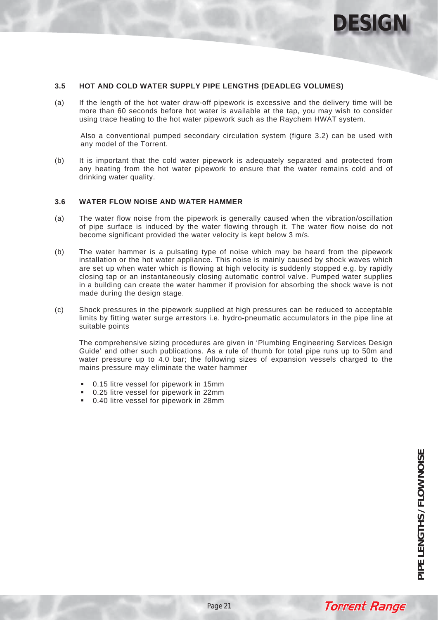

### **3.5 HOT AND COLD WATER SUPPLY PIPE LENGTHS (DEADLEG VOLUMES)**

(a) If the length of the hot water draw-off pipework is excessive and the delivery time will be more than 60 seconds before hot water is available at the tap, you may wish to consider using trace heating to the hot water pipework such as the Raychem HWAT system.

Also a conventional pumped secondary circulation system (figure 3.2) can be used with any model of the Torrent.

(b) It is important that the cold water pipework is adequately separated and protected from any heating from the hot water pipework to ensure that the water remains cold and of drinking water quality.

### **3.6 WATER FLOW NOISE AND WATER HAMMER**

- (a) The water flow noise from the pipework is generally caused when the vibration/oscillation of pipe surface is induced by the water flowing through it. The water flow noise do not become significant provided the water velocity is kept below 3 m/s.
- (b) The water hammer is a pulsating type of noise which may be heard from the pipework installation or the hot water appliance. This noise is mainly caused by shock waves which are set up when water which is flowing at high velocity is suddenly stopped e.g. by rapidly closing tap or an instantaneously closing automatic control valve. Pumped water supplies in a building can create the water hammer if provision for absorbing the shock wave is not made during the design stage.
- (c) Shock pressures in the pipework supplied at high pressures can be reduced to acceptable limits by fitting water surge arrestors i.e. hydro-pneumatic accumulators in the pipe line at suitable points

The comprehensive sizing procedures are given in 'Plumbing Engineering Services Design Guide' and other such publications. As a rule of thumb for total pipe runs up to 50m and water pressure up to 4.0 bar; the following sizes of expansion vessels charged to the mains pressure may eliminate the water hammer

- 0.15 litre vessel for pipework in 15mm
- 0.25 litre vessel for pipework in 22mm
- 0.40 litre vessel for pipework in 28mm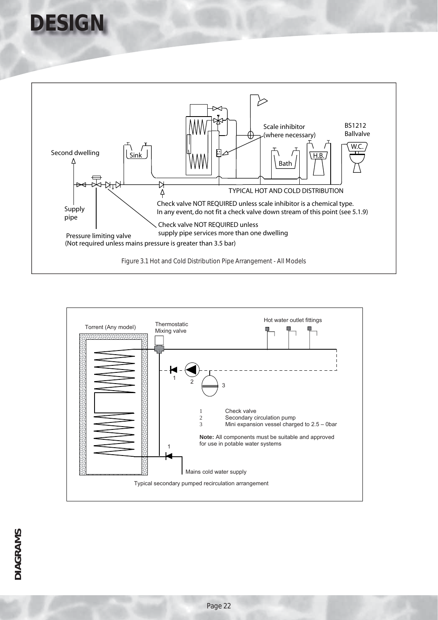



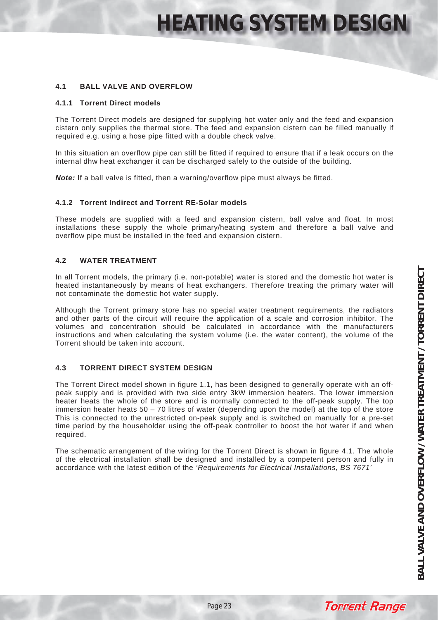### **4.1 BALL VALVE AND OVERFLOW**

### **4.1.1 Torrent Direct models**

The Torrent Direct models are designed for supplying hot water only and the feed and expansion cistern only supplies the thermal store. The feed and expansion cistern can be filled manually if required e.g. using a hose pipe fitted with a double check valve.

In this situation an overflow pipe can still be fitted if required to ensure that if a leak occurs on the internal dhw heat exchanger it can be discharged safely to the outside of the building.

*Note:* If a ball valve is fitted, then a warning/overflow pipe must always be fitted.

### **4.1.2 Torrent Indirect and Torrent RE-Solar models**

These models are supplied with a feed and expansion cistern, ball valve and float. In most installations these supply the whole primary/heating system and therefore a ball valve and overflow pipe must be installed in the feed and expansion cistern.

### **4.2 WATER TREATMENT**

In all Torrent models, the primary (i.e. non-potable) water is stored and the domestic hot water is heated instantaneously by means of heat exchangers. Therefore treating the primary water will not contaminate the domestic hot water supply.

Although the Torrent primary store has no special water treatment requirements, the radiators and other parts of the circuit will require the application of a scale and corrosion inhibitor. The volumes and concentration should be calculated in accordance with the manufacturers instructions and when calculating the system volume (i.e. the water content), the volume of the Torrent should be taken into account.

### **4.3 TORRENT DIRECT SYSTEM DESIGN**

The Torrent Direct model shown in figure 1.1, has been designed to generally operate with an offpeak supply and is provided with two side entry 3kW immersion heaters. The lower immersion heater heats the whole of the store and is normally connected to the off-peak supply. The top immersion heater heats 50 – 70 litres of water (depending upon the model) at the top of the store This is connected to the unrestricted on-peak supply and is switched on manually for a pre-set time period by the householder using the off-peak controller to boost the hot water if and when required.

The schematic arrangement of the wiring for the Torrent Direct is shown in figure 4.1. The whole of the electrical installation shall be designed and installed by a competent person and fully in accordance with the latest edition of the *'Requirements for Electrical Installations, BS 7671'*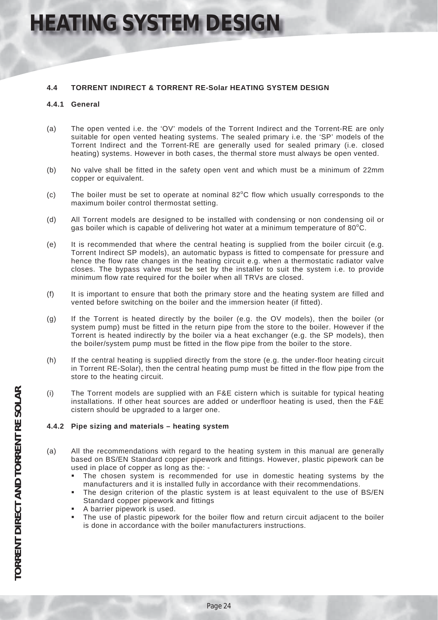### **4.4 TORRENT INDIRECT & TORRENT RE-Solar HEATING SYSTEM DESIGN**

### **4.4.1 General**

- (a) The open vented i.e. the 'OV' models of the Torrent Indirect and the Torrent-RE are only suitable for open vented heating systems. The sealed primary i.e. the 'SP' models of the Torrent Indirect and the Torrent-RE are generally used for sealed primary (i.e. closed heating) systems. However in both cases, the thermal store must always be open vented.
- (b) No valve shall be fitted in the safety open vent and which must be a minimum of 22mm copper or equivalent.
- $(c)$  The boiler must be set to operate at nominal 82 $^{\circ}$ C flow which usually corresponds to the maximum boiler control thermostat setting.
- (d) All Torrent models are designed to be installed with condensing or non condensing oil or gas boiler which is capable of delivering hot water at a minimum temperature of 80 $^{\circ}$ C.
- (e) It is recommended that where the central heating is supplied from the boiler circuit (e.g. Torrent Indirect SP models), an automatic bypass is fitted to compensate for pressure and hence the flow rate changes in the heating circuit e.g. when a thermostatic radiator valve closes. The bypass valve must be set by the installer to suit the system i.e. to provide minimum flow rate required for the boiler when all TRVs are closed.
- (f) It is important to ensure that both the primary store and the heating system are filled and vented before switching on the boiler and the immersion heater (if fitted).
- (g) If the Torrent is heated directly by the boiler (e.g. the OV models), then the boiler (or system pump) must be fitted in the return pipe from the store to the boiler. However if the Torrent is heated indirectly by the boiler via a heat exchanger (e.g. the SP models), then the boiler/system pump must be fitted in the flow pipe from the boiler to the store.
- (h) If the central heating is supplied directly from the store (e.g. the under-floor heating circuit in Torrent RE-Solar), then the central heating pump must be fitted in the flow pipe from the store to the heating circuit.
- (i) The Torrent models are supplied with an F&E cistern which is suitable for typical heating installations. If other heat sources are added or underfloor heating is used, then the F&E cistern should be upgraded to a larger one.

### **4.4.2 Pipe sizing and materials – heating system**

- (a) All the recommendations with regard to the heating system in this manual are generally based on BS/EN Standard copper pipework and fittings. However, plastic pipework can be used in place of copper as long as the: -
	- The chosen system is recommended for use in domestic heating systems by the manufacturers and it is installed fully in accordance with their recommendations.
	- The design criterion of the plastic system is at least equivalent to the use of BS/EN Standard copper pipework and fittings
	- A barrier pipework is used.
	- The use of plastic pipework for the boiler flow and return circuit adjacent to the boiler is done in accordance with the boiler manufacturers instructions.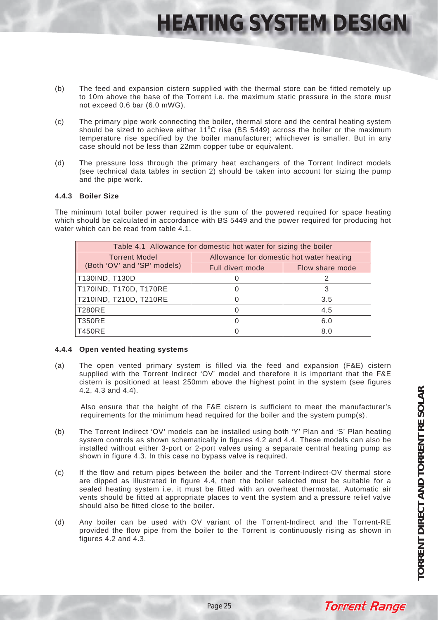- (b) The feed and expansion cistern supplied with the thermal store can be fitted remotely up to 10m above the base of the Torrent i.e. the maximum static pressure in the store must not exceed 0.6 bar (6.0 mWG).
- (c) The primary pipe work connecting the boiler, thermal store and the central heating system should be sized to achieve either  $11^{\circ}$ C rise (BS 5449) across the boiler or the maximum temperature rise specified by the boiler manufacturer; whichever is smaller. But in any case should not be less than 22mm copper tube or equivalent.
- (d) The pressure loss through the primary heat exchangers of the Torrent Indirect models (see technical data tables in section 2) should be taken into account for sizing the pump and the pipe work.

### **4.4.3 Boiler Size**

The minimum total boiler power required is the sum of the powered required for space heating which should be calculated in accordance with BS 5449 and the power required for producing hot water which can be read from table 4.1.

|                             | Table 4.1 Allowance for domestic hot water for sizing the boiler |                 |  |  |
|-----------------------------|------------------------------------------------------------------|-----------------|--|--|
| <b>Torrent Model</b>        | Allowance for domestic hot water heating                         |                 |  |  |
| (Both 'OV' and 'SP' models) | Full divert mode                                                 | Flow share mode |  |  |
| T130IND, T130D              | O                                                                |                 |  |  |
| T170IND, T170D, T170RE      | $\mathbf{O}$                                                     | 3               |  |  |
| T210IND, T210D, T210RE      | O                                                                | 3.5             |  |  |
| <b>T280RE</b>               | O                                                                | 4.5             |  |  |
| <b>T350RE</b>               | $\left( \right)$                                                 | 6.0             |  |  |
| <b>T450RE</b>               |                                                                  | 8.C             |  |  |

### **4.4.4 Open vented heating systems**

(a) The open vented primary system is filled via the feed and expansion (F&E) cistern supplied with the Torrent Indirect 'OV' model and therefore it is important that the F&E cistern is positioned at least 250mm above the highest point in the system (see figures 4.2, 4.3 and 4.4).

Also ensure that the height of the F&E cistern is sufficient to meet the manufacturer's requirements for the minimum head required for the boiler and the system pump(s).

- (b) The Torrent Indirect 'OV' models can be installed using both 'Y' Plan and 'S' Plan heating system controls as shown schematically in figures 4.2 and 4.4. These models can also be installed without either 3-port or 2-port valves using a separate central heating pump as shown in figure 4.3. In this case no bypass valve is required.
- (c) If the flow and return pipes between the boiler and the Torrent-Indirect-OV thermal store are dipped as illustrated in figure 4.4, then the boiler selected must be suitable for a sealed heating system i.e. it must be fitted with an overheat thermostat. Automatic air vents should be fitted at appropriate places to vent the system and a pressure relief valve should also be fitted close to the boiler.
- (d) Any boiler can be used with OV variant of the Torrent-Indirect and the Torrent-RE provided the flow pipe from the boiler to the Torrent is continuously rising as shown in figures 4.2 and 4.3.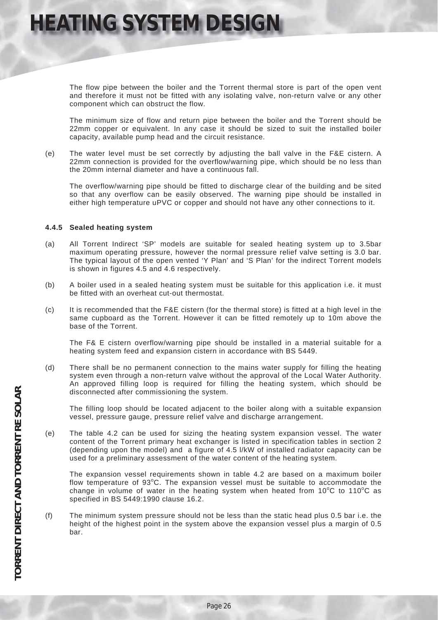The flow pipe between the boiler and the Torrent thermal store is part of the open vent and therefore it must not be fitted with any isolating valve, non-return valve or any other component which can obstruct the flow.

The minimum size of flow and return pipe between the boiler and the Torrent should be 22mm copper or equivalent. In any case it should be sized to suit the installed boiler capacity, available pump head and the circuit resistance.

(e) The water level must be set correctly by adjusting the ball valve in the F&E cistern. A 22mm connection is provided for the overflow/warning pipe, which should be no less than the 20mm internal diameter and have a continuous fall.

The overflow/warning pipe should be fitted to discharge clear of the building and be sited so that any overflow can be easily observed. The warning pipe should be installed in either high temperature uPVC or copper and should not have any other connections to it.

### **4.4.5 Sealed heating system**

- (a) All Torrent Indirect 'SP' models are suitable for sealed heating system up to 3.5bar maximum operating pressure, however the normal pressure relief valve setting is 3.0 bar. The typical layout of the open vented 'Y Plan' and 'S Plan' for the indirect Torrent models is shown in figures 4.5 and 4.6 respectively.
- (b) A boiler used in a sealed heating system must be suitable for this application i.e. it must be fitted with an overheat cut-out thermostat.
- (c) It is recommended that the F&E cistern (for the thermal store) is fitted at a high level in the same cupboard as the Torrent. However it can be fitted remotely up to 10m above the base of the Torrent.

The F& E cistern overflow/warning pipe should be installed in a material suitable for a heating system feed and expansion cistern in accordance with BS 5449.

(d) There shall be no permanent connection to the mains water supply for filling the heating system even through a non-return valve without the approval of the Local Water Authority. An approved filling loop is required for filling the heating system, which should be disconnected after commissioning the system.

The filling loop should be located adjacent to the boiler along with a suitable expansion vessel, pressure gauge, pressure relief valve and discharge arrangement.

(e) The table 4.2 can be used for sizing the heating system expansion vessel. The water content of the Torrent primary heat exchanger is listed in specification tables in section 2 (depending upon the model) and a figure of 4.5 l/kW of installed radiator capacity can be used for a preliminary assessment of the water content of the heating system.

The expansion vessel requirements shown in table 4.2 are based on a maximum boiler flow temperature of  $93^{\circ}$ C. The expansion vessel must be suitable to accommodate the change in volume of water in the heating system when heated from 10°C to 110°C as specified in BS 5449:1990 clause 16.2.

(f) The minimum system pressure should not be less than the static head plus 0.5 bar i.e. the height of the highest point in the system above the expansion vessel plus a margin of 0.5 bar.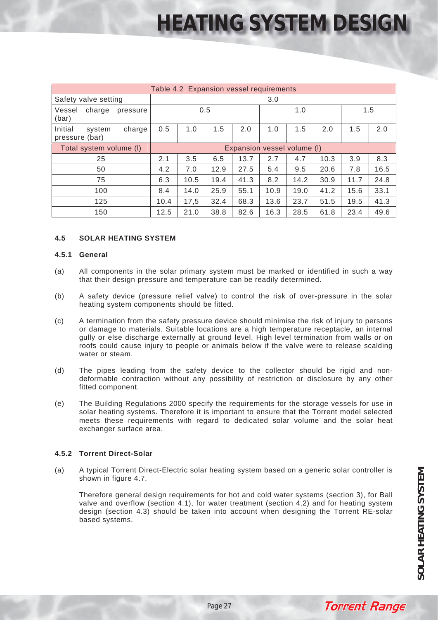| Table 4.2 Expansion vessel requirements |          |                             |      |      |      |      |      |      |      |      |
|-----------------------------------------|----------|-----------------------------|------|------|------|------|------|------|------|------|
| Safety valve setting                    |          | 3.0                         |      |      |      |      |      |      |      |      |
| Vessel<br>charge<br>(bar)               | pressure | 0.5                         |      |      | 1.0  |      |      | 1.5  |      |      |
| Initial<br>system<br>pressure (bar)     | charge   | 0.5                         | 1.0  | 1.5  | 2.0  | 1.0  | 1.5  | 2.0  | 1.5  | 2.0  |
| Total system volume (I)                 |          | Expansion vessel volume (I) |      |      |      |      |      |      |      |      |
| 25                                      |          | 2.1                         | 3.5  | 6.5  | 13.7 | 2.7  | 4.7  | 10.3 | 3.9  | 8.3  |
| 50                                      |          | 4.2                         | 7.0  | 12.9 | 27.5 | 5.4  | 9.5  | 20.6 | 7.8  | 16.5 |
| 75                                      |          | 6.3                         | 10.5 | 19.4 | 41.3 | 8.2  | 14.2 | 30.9 | 11.7 | 24.8 |
| 100                                     |          | 8.4                         | 14.0 | 25.9 | 55.1 | 10.9 | 19.0 | 41.2 | 15.6 | 33.1 |
| 125                                     |          | 10.4                        | 17,5 | 32.4 | 68.3 | 13.6 | 23.7 | 51.5 | 19.5 | 41.3 |
| 150                                     |          | 12.5                        | 21.0 | 38.8 | 82.6 | 16.3 | 28.5 | 61.8 | 23.4 | 49.6 |

### **4.5 SOLAR HEATING SYSTEM**

### **4.5.1 General**

- (a) All components in the solar primary system must be marked or identified in such a way that their design pressure and temperature can be readily determined.
- (b) A safety device (pressure relief valve) to control the risk of over-pressure in the solar heating system components should be fitted.
- (c) A termination from the safety pressure device should minimise the risk of injury to persons or damage to materials. Suitable locations are a high temperature receptacle, an internal gully or else discharge externally at ground level. High level termination from walls or on roofs could cause injury to people or animals below if the valve were to release scalding water or steam.
- (d) The pipes leading from the safety device to the collector should be rigid and nondeformable contraction without any possibility of restriction or disclosure by any other fitted component.
- (e) The Building Regulations 2000 specify the requirements for the storage vessels for use in solar heating systems. Therefore it is important to ensure that the Torrent model selected meets these requirements with regard to dedicated solar volume and the solar heat exchanger surface area.

### **4.5.2 Torrent Direct-Solar**

(a) A typical Torrent Direct-Electric solar heating system based on a generic solar controller is shown in figure 4.7.

Therefore general design requirements for hot and cold water systems (section 3), for Ball valve and overflow (section 4.1), for water treatment (section 4.2) and for heating system design (section 4.3) should be taken into account when designing the Torrent RE-solar based systems.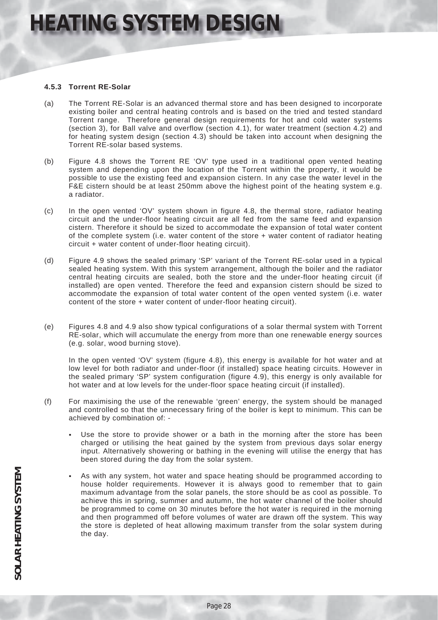### **4.5.3 Torrent RE-Solar**

- (a) The Torrent RE-Solar is an advanced thermal store and has been designed to incorporate existing boiler and central heating controls and is based on the tried and tested standard Torrent range. Therefore general design requirements for hot and cold water systems (section 3), for Ball valve and overflow (section 4.1), for water treatment (section 4.2) and for heating system design (section 4.3) should be taken into account when designing the Torrent RE-solar based systems.
- (b) Figure 4.8 shows the Torrent RE 'OV' type used in a traditional open vented heating system and depending upon the location of the Torrent within the property, it would be possible to use the existing feed and expansion cistern. In any case the water level in the F&E cistern should be at least 250mm above the highest point of the heating system e.g. a radiator.
- (c) In the open vented 'OV' system shown in figure 4.8, the thermal store, radiator heating circuit and the under-floor heating circuit are all fed from the same feed and expansion cistern. Therefore it should be sized to accommodate the expansion of total water content of the complete system (i.e. water content of the store + water content of radiator heating circuit + water content of under-floor heating circuit).
- (d) Figure 4.9 shows the sealed primary 'SP' variant of the Torrent RE-solar used in a typical sealed heating system. With this system arrangement, although the boiler and the radiator central heating circuits are sealed, both the store and the under-floor heating circuit (if installed) are open vented. Therefore the feed and expansion cistern should be sized to accommodate the expansion of total water content of the open vented system (i.e. water content of the store + water content of under-floor heating circuit).
- (e) Figures 4.8 and 4.9 also show typical configurations of a solar thermal system with Torrent RE-solar, which will accumulate the energy from more than one renewable energy sources (e.g. solar, wood burning stove).

In the open vented 'OV' system (figure 4.8), this energy is available for hot water and at low level for both radiator and under-floor (if installed) space heating circuits. However in the sealed primary 'SP' system configuration (figure 4.9), this energy is only available for hot water and at low levels for the under-floor space heating circuit (if installed).

- (f) For maximising the use of the renewable 'green' energy, the system should be managed and controlled so that the unnecessary firing of the boiler is kept to minimum. This can be achieved by combination of: -
	- Use the store to provide shower or a bath in the morning after the store has been charged or utilising the heat gained by the system from previous days solar energy input. Alternatively showering or bathing in the evening will utilise the energy that has been stored during the day from the solar system.
	- As with any system, hot water and space heating should be programmed according to house holder requirements. However it is always good to remember that to gain maximum advantage from the solar panels, the store should be as cool as possible. To achieve this in spring, summer and autumn, the hot water channel of the boiler should be programmed to come on 30 minutes before the hot water is required in the morning and then programmed off before volumes of water are drawn off the system. This way the store is depleted of heat allowing maximum transfer from the solar system during the day.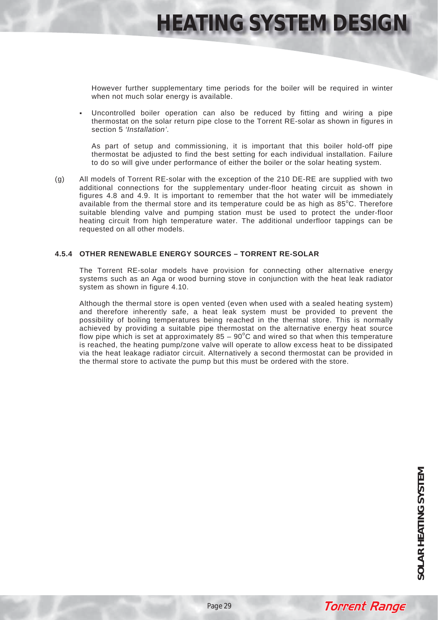However further supplementary time periods for the boiler will be required in winter when not much solar energy is available.

 Uncontrolled boiler operation can also be reduced by fitting and wiring a pipe thermostat on the solar return pipe close to the Torrent RE-solar as shown in figures in section 5 *'Installation'*.

As part of setup and commissioning, it is important that this boiler hold-off pipe thermostat be adjusted to find the best setting for each individual installation. Failure to do so will give under performance of either the boiler or the solar heating system.

(g) All models of Torrent RE-solar with the exception of the 210 DE-RE are supplied with two additional connections for the supplementary under-floor heating circuit as shown in figures 4.8 and 4.9. It is important to remember that the hot water will be immediately available from the thermal store and its temperature could be as high as  $85^{\circ}$ C. Therefore suitable blending valve and pumping station must be used to protect the under-floor heating circuit from high temperature water. The additional underfloor tappings can be requested on all other models.

### **4.5.4 OTHER RENEWABLE ENERGY SOURCES – TORRENT RE-SOLAR**

The Torrent RE-solar models have provision for connecting other alternative energy systems such as an Aga or wood burning stove in conjunction with the heat leak radiator system as shown in figure 4.10.

Although the thermal store is open vented (even when used with a sealed heating system) and therefore inherently safe, a heat leak system must be provided to prevent the possibility of boiling temperatures being reached in the thermal store. This is normally achieved by providing a suitable pipe thermostat on the alternative energy heat source flow pipe which is set at approximately  $85 - 90^{\circ}$ C and wired so that when this temperature is reached, the heating pump/zone valve will operate to allow excess heat to be dissipated via the heat leakage radiator circuit. Alternatively a second thermostat can be provided in the thermal store to activate the pump but this must be ordered with the store.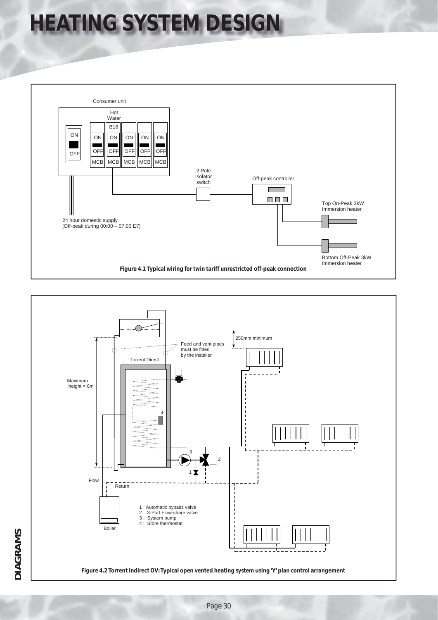



**DIAGRAMS**

**DIAGRAMS**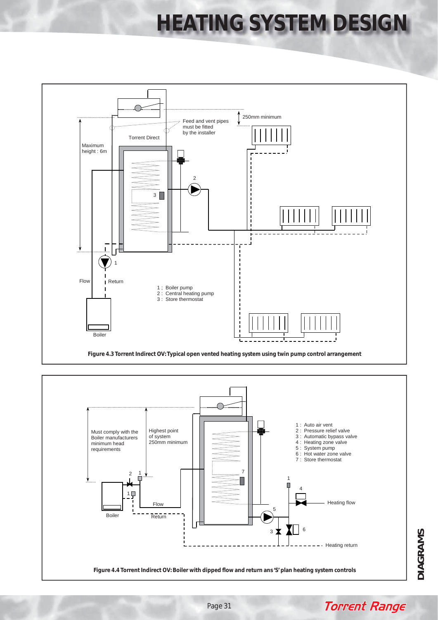



**DIAGRAMS DIAGRAMS**

**Torrent Range** 

Page 31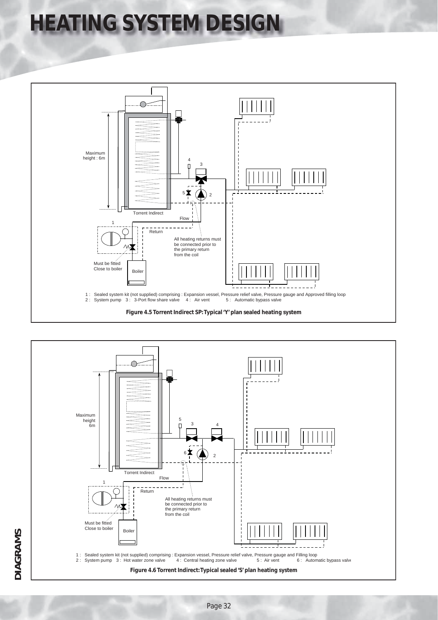

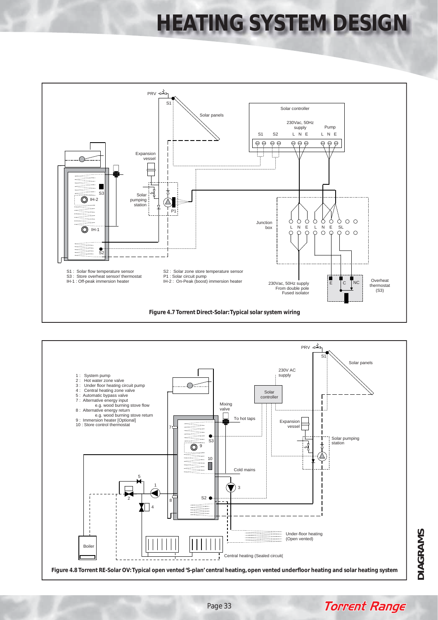



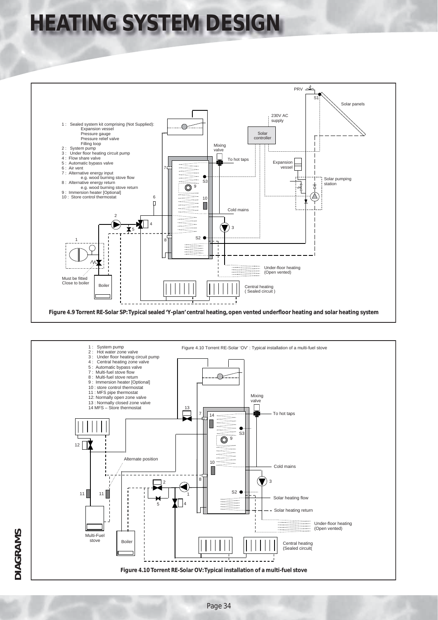

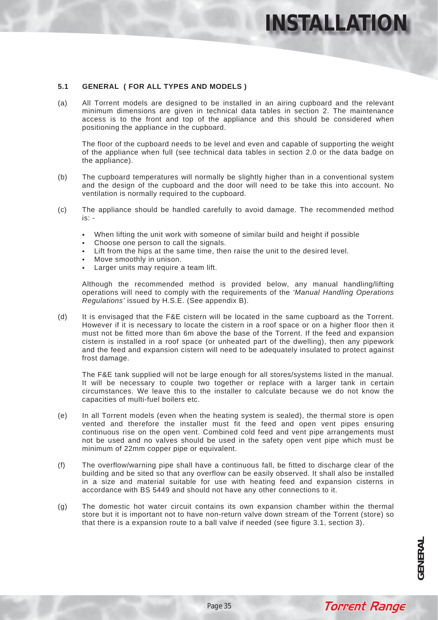### **5.1 GENERAL ( FOR ALL TYPES AND MODELS )**

(a) All Torrent models are designed to be installed in an airing cupboard and the relevant minimum dimensions are given in technical data tables in section 2. The maintenance access is to the front and top of the appliance and this should be considered when positioning the appliance in the cupboard.

The floor of the cupboard needs to be level and even and capable of supporting the weight of the appliance when full (see technical data tables in section 2.0 or the data badge on the appliance).

- (b) The cupboard temperatures will normally be slightly higher than in a conventional system and the design of the cupboard and the door will need to be take this into account. No ventilation is normally required to the cupboard.
- (c) The appliance should be handled carefully to avoid damage. The recommended method is: -
	- When lifting the unit work with someone of similar build and height if possible
	- Choose one person to call the signals.
	- Lift from the hips at the same time, then raise the unit to the desired level.
	- Move smoothly in unison.
	- Larger units may require a team lift.

Although the recommended method is provided below, any manual handling/lifting operations will need to comply with the requirements of the *'Manual Handling Operations Regulations'* issued by H.S.E. (See appendix B).

(d) It is envisaged that the F&E cistern will be located in the same cupboard as the Torrent. However if it is necessary to locate the cistern in a roof space or on a higher floor then it must not be fitted more than 6m above the base of the Torrent. If the feed and expansion cistern is installed in a roof space (or unheated part of the dwelling), then any pipework and the feed and expansion cistern will need to be adequately insulated to protect against frost damage.

The F&E tank supplied will not be large enough for all stores/systems listed in the manual. It will be necessary to couple two together or replace with a larger tank in certain circumstances. We leave this to the installer to calculate because we do not know the capacities of multi-fuel boilers etc.

- (e) In all Torrent models (even when the heating system is sealed), the thermal store is open vented and therefore the installer must fit the feed and open vent pipes ensuring continuous rise on the open vent. Combined cold feed and vent pipe arrangements must not be used and no valves should be used in the safety open vent pipe which must be minimum of 22mm copper pipe or equivalent.
- (f) The overflow/warning pipe shall have a continuous fall, be fitted to discharge clear of the building and be sited so that any overflow can be easily observed. It shall also be installed in a size and material suitable for use with heating feed and expansion cisterns in accordance with BS 5449 and should not have any other connections to it.
- (g) The domestic hot water circuit contains its own expansion chamber within the thermal store but it is important not to have non-return valve down stream of the Torrent (store) so that there is a expansion route to a ball valve if needed (see figure 3.1, section 3).

**Torrent Range**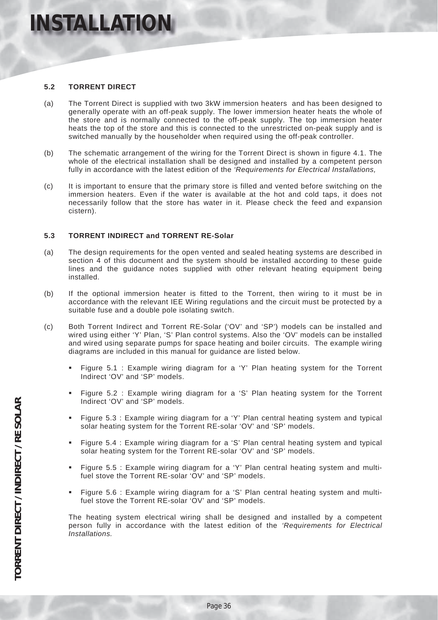### **5.2 TORRENT DIRECT**

- (a) The Torrent Direct is supplied with two 3kW immersion heaters and has been designed to generally operate with an off-peak supply. The lower immersion heater heats the whole of the store and is normally connected to the off-peak supply. The top immersion heater heats the top of the store and this is connected to the unrestricted on-peak supply and is switched manually by the householder when required using the off-peak controller.
- (b) The schematic arrangement of the wiring for the Torrent Direct is shown in figure 4.1. The whole of the electrical installation shall be designed and installed by a competent person fully in accordance with the latest edition of the *'Requirements for Electrical Installations,*
- (c) It is important to ensure that the primary store is filled and vented before switching on the immersion heaters. Even if the water is available at the hot and cold taps, it does not necessarily follow that the store has water in it. Please check the feed and expansion cistern).

### **5.3 TORRENT INDIRECT and TORRENT RE-Solar**

- (a) The design requirements for the open vented and sealed heating systems are described in section 4 of this document and the system should be installed according to these guide lines and the guidance notes supplied with other relevant heating equipment being installed.
- (b) If the optional immersion heater is fitted to the Torrent, then wiring to it must be in accordance with the relevant IEE Wiring regulations and the circuit must be protected by a suitable fuse and a double pole isolating switch.
- (c) Both Torrent Indirect and Torrent RE-Solar ('OV' and 'SP') models can be installed and wired using either 'Y' Plan, 'S' Plan control systems. Also the 'OV' models can be installed and wired using separate pumps for space heating and boiler circuits. The example wiring diagrams are included in this manual for guidance are listed below.
	- Figure 5.1 : Example wiring diagram for a 'Y' Plan heating system for the Torrent Indirect 'OV' and 'SP' models.
	- Figure 5.2 : Example wiring diagram for a 'S' Plan heating system for the Torrent Indirect 'OV' and 'SP' models.
	- Figure 5.3 : Example wiring diagram for a 'Y' Plan central heating system and typical solar heating system for the Torrent RE-solar 'OV' and 'SP' models.
	- Figure 5.4 : Example wiring diagram for a 'S' Plan central heating system and typical solar heating system for the Torrent RE-solar 'OV' and 'SP' models.
	- Figure 5.5 : Example wiring diagram for a 'Y' Plan central heating system and multifuel stove the Torrent RE-solar 'OV' and 'SP' models.
	- Figure 5.6 : Example wiring diagram for a 'S' Plan central heating system and multifuel stove the Torrent RE-solar 'OV' and 'SP' models.

The heating system electrical wiring shall be designed and installed by a competent person fully in accordance with the latest edition of the *'Requirements for Electrical Installations.*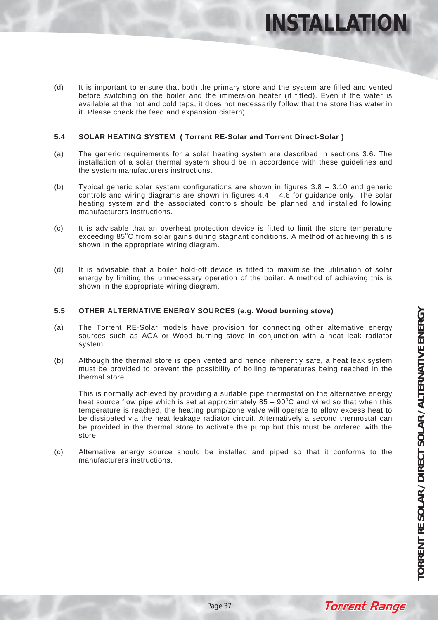**INSTALLATIO** 

(d) It is important to ensure that both the primary store and the system are filled and vented before switching on the boiler and the immersion heater (if fitted). Even if the water is available at the hot and cold taps, it does not necessarily follow that the store has water in it. Please check the feed and expansion cistern).

### **5.4 SOLAR HEATING SYSTEM ( Torrent RE-Solar and Torrent Direct-Solar )**

- (a) The generic requirements for a solar heating system are described in sections 3.6. The installation of a solar thermal system should be in accordance with these guidelines and the system manufacturers instructions.
- (b) Typical generic solar system configurations are shown in figures 3.8 3.10 and generic controls and wiring diagrams are shown in figures  $4.4 - 4.6$  for guidance only. The solar heating system and the associated controls should be planned and installed following manufacturers instructions.
- (c) It is advisable that an overheat protection device is fitted to limit the store temperature exceeding 85°C from solar gains during stagnant conditions. A method of achieving this is shown in the appropriate wiring diagram.
- (d) It is advisable that a boiler hold-off device is fitted to maximise the utilisation of solar energy by limiting the unnecessary operation of the boiler. A method of achieving this is shown in the appropriate wiring diagram.

### **5.5 OTHER ALTERNATIVE ENERGY SOURCES (e.g. Wood burning stove)**

- (a) The Torrent RE-Solar models have provision for connecting other alternative energy sources such as AGA or Wood burning stove in conjunction with a heat leak radiator system.
- (b) Although the thermal store is open vented and hence inherently safe, a heat leak system must be provided to prevent the possibility of boiling temperatures being reached in the thermal store.

This is normally achieved by providing a suitable pipe thermostat on the alternative energy heat source flow pipe which is set at approximately  $85 - 90^{\circ}$ C and wired so that when this temperature is reached, the heating pump/zone valve will operate to allow excess heat to be dissipated via the heat leakage radiator circuit. Alternatively a second thermostat can be provided in the thermal store to activate the pump but this must be ordered with the store.

(c) Alternative energy source should be installed and piped so that it conforms to the manufacturers instructions.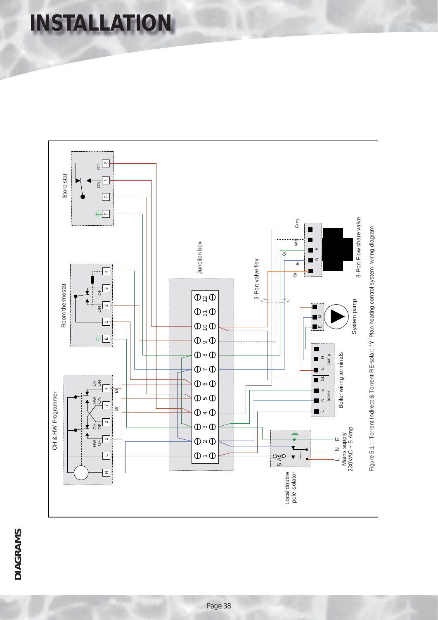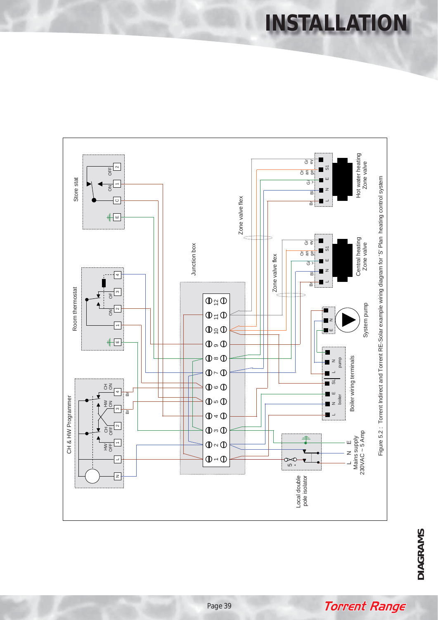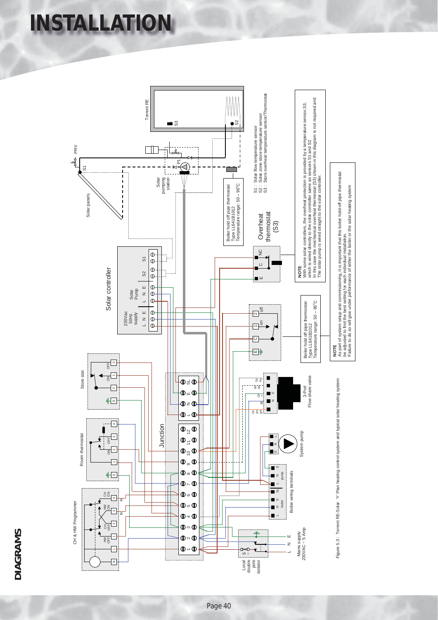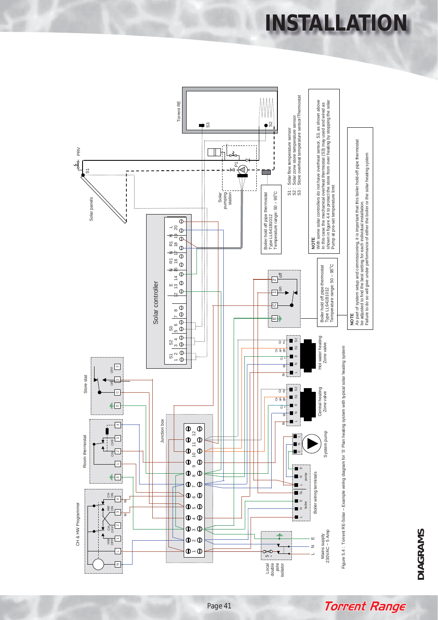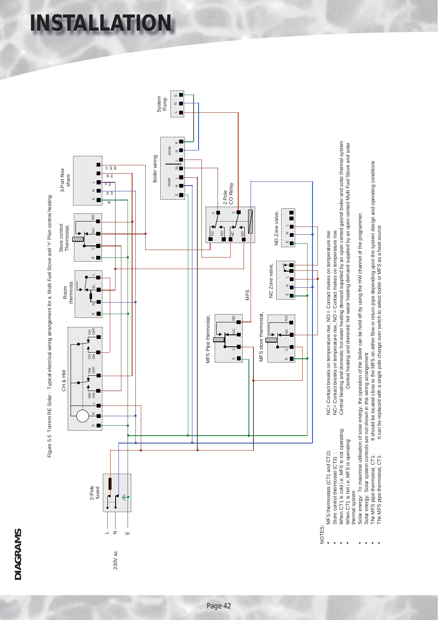# **DIAGRAMS DIAGRAMS**



**INSTALLATION**



NOTES:

- MFS thermostats (CT1 and CT2): NC= Contact breaks on temperature rise, NO = Contact makes on temperature rise MFS thermostats (CT1 and CT2): Store control thermostat (CT3):
	- When CT1 is cold i.e. MFS is not operating:
- Central heating and domestic hot water heating demand supplied by an open vented gas/oil boiler and solar thermal system • When CT1 is cold i.e. MFS is not operating: Central heating and domestic hot water heating demand supplied by an open vented gas/oil boiler and solar thermal system • Store control thermostat (CT3) : NC= Contact breaks on temperature rise, NO = Contact makes on temperature rise NC= Contact breaks on temperature rise, NO = Contact makes on temperature rise

NC= Contact breaks on temperature rise, NO = Contact makes on temperature rise

- Central heating and domestic hot water heating demand supplied by an open vented Multi Fuel Stove and solar • When CT1 is hot i.e. MFS is operating: Central heating and domestic hot water heating demand supplied by an open vented Multi Fuel Stove and solar When CT1 is hot i.e. MFS is operating: hermal system thermal system
	- Solar energy: To maximise utilisation of solar energy, the operation of the boiler can be held off by using the HW channel of the programmer. Solar energy: To maximise utilisation of solar energy, the operation of the boiler can be held off by using the HW channel of the programmer.
		- Solar energy: Solar system controls are not shown in this wiring arrangement • Solar energy: Solar system controls are not shown in this wiring arrangement
- The MFS pipe thermostat, CT1: It should be located close to the MFS on either flow or return pipe depending upon the system design and operating conditions It should be located close to the MFS on either flow or return pipe depending upon the system design and operating conditions The MFS pipe thermostat, CT1:
	- It can be replaced with a single pole change over switch to select boiler or MFS as a heat source • The MFS pipe thermostat, CT1: It can be replaced with a single pole change over switch to select boiler or MFS as a heat source The MFS pipe thermostat, CT1: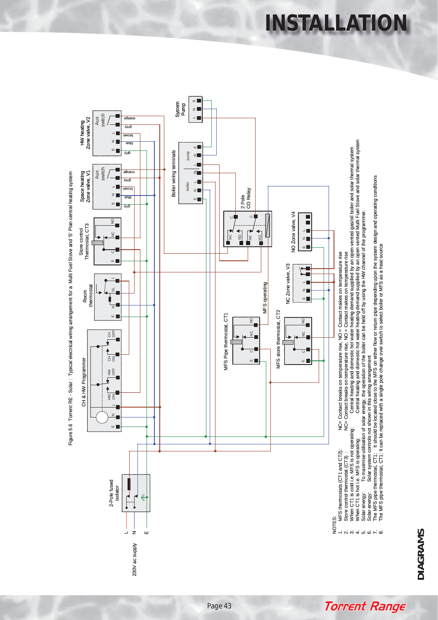**DIAGRAMS DIAGRAMS**

**Torrent Range** 



Figure 5.6 Torrent RE - Solar : Typical electrical wiring arrangement for a Multi Fuel Stove and 'S' Plan central heating system Figure 5.6 Torrent RE - Solar : Typical electrical wiring arrangement for a Multi Fuel Stove and 'S' Plan central heating system **INSTALLATION**

Page 43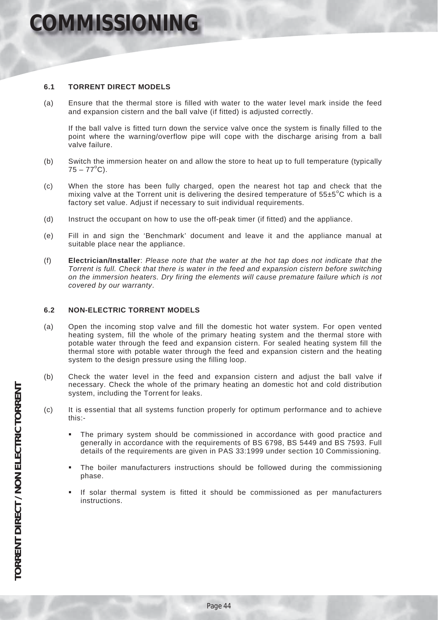### **OMMISSIONING**

### **6.1 TORRENT DIRECT MODELS**

(a) Ensure that the thermal store is filled with water to the water level mark inside the feed and expansion cistern and the ball valve (if fitted) is adjusted correctly.

If the ball valve is fitted turn down the service valve once the system is finally filled to the point where the warning/overflow pipe will cope with the discharge arising from a ball valve failure.

- (b) Switch the immersion heater on and allow the store to heat up to full temperature (typically  $75 - 77^{\circ}$ C).
- (c) When the store has been fully charged, open the nearest hot tap and check that the mixing valve at the Torrent unit is delivering the desired temperature of  $55\pm5^{\circ}$ C which is a factory set value. Adjust if necessary to suit individual requirements.
- (d) Instruct the occupant on how to use the off-peak timer (if fitted) and the appliance.
- (e) Fill in and sign the 'Benchmark' document and leave it and the appliance manual at suitable place near the appliance.
- (f) **Electrician/Installer**: *Please note that the water at the hot tap does not indicate that the Torrent is full. Check that there is water in the feed and expansion cistern before switching on the immersion heaters. Dry firing the elements will cause premature failure which is not covered by our warranty*.

### **6.2 NON-ELECTRIC TORRENT MODELS**

- (a) Open the incoming stop valve and fill the domestic hot water system. For open vented heating system, fill the whole of the primary heating system and the thermal store with potable water through the feed and expansion cistern. For sealed heating system fill the thermal store with potable water through the feed and expansion cistern and the heating system to the design pressure using the filling loop.
- (b) Check the water level in the feed and expansion cistern and adjust the ball valve if necessary. Check the whole of the primary heating an domestic hot and cold distribution system, including the Torrent for leaks.
- (c) It is essential that all systems function properly for optimum performance and to achieve this:-
	- The primary system should be commissioned in accordance with good practice and generally in accordance with the requirements of BS 6798, BS 5449 and BS 7593. Full details of the requirements are given in PAS 33:1999 under section 10 Commissioning.
	- The boiler manufacturers instructions should be followed during the commissioning phase.
	- If solar thermal system is fitted it should be commissioned as per manufacturers instructions.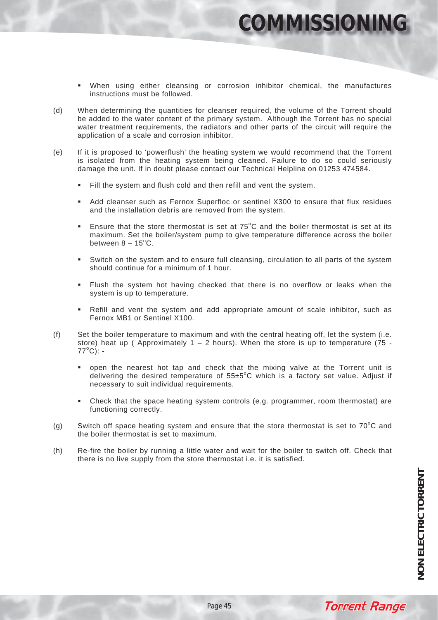### **COMMISSIONING**

- When using either cleansing or corrosion inhibitor chemical, the manufactures instructions must be followed.
- (d) When determining the quantities for cleanser required, the volume of the Torrent should be added to the water content of the primary system. Although the Torrent has no special water treatment requirements, the radiators and other parts of the circuit will require the application of a scale and corrosion inhibitor.
- (e) If it is proposed to 'powerflush' the heating system we would recommend that the Torrent is isolated from the heating system being cleaned. Failure to do so could seriously damage the unit. If in doubt please contact our Technical Helpline on 01253 474584.
	- Fill the system and flush cold and then refill and vent the system.
	- Add cleanser such as Fernox Superfloc or sentinel X300 to ensure that flux residues and the installation debris are removed from the system.
	- **Ensure that the store thermostat is set at**  $75^{\circ}$ **C and the boiler thermostat is set at its** maximum. Set the boiler/system pump to give temperature difference across the boiler between  $8 - 15^{\circ}$ C.
	- Switch on the system and to ensure full cleansing, circulation to all parts of the system should continue for a minimum of 1 hour.
	- Flush the system hot having checked that there is no overflow or leaks when the system is up to temperature.
	- Refill and vent the system and add appropriate amount of scale inhibitor, such as Fernox MB1 or Sentinel X100.
- (f) Set the boiler temperature to maximum and with the central heating off, let the system (i.e. store) heat up (Approximately  $1 - 2$  hours). When the store is up to temperature (75 -77<sup>o</sup> C):
	- open the nearest hot tap and check that the mixing valve at the Torrent unit is delivering the desired temperature of  $55\pm5^{\circ}$ C which is a factory set value. Adjust if necessary to suit individual requirements.
	- Check that the space heating system controls (e.g. programmer, room thermostat) are functioning correctly.
- (g) Switch off space heating system and ensure that the store thermostat is set to  $70^{\circ}$ C and the boiler thermostat is set to maximum.
- (h) Re-fire the boiler by running a little water and wait for the boiler to switch off. Check that there is no live supply from the store thermostat i.e. it is satisfied.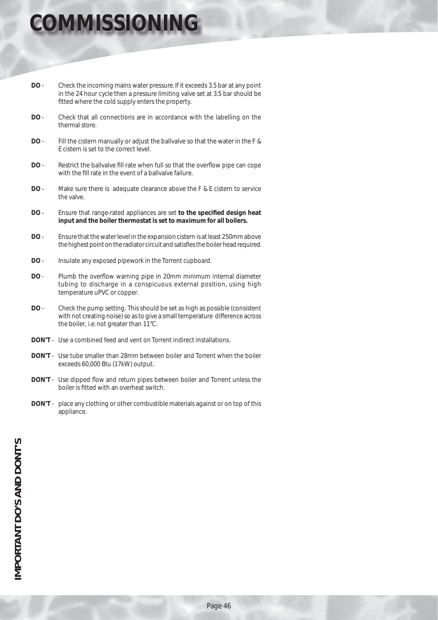## **MMISSIONING**

- **DO** Check the incoming mains water pressure. If it exceeds 3.5 bar at any point in the 24 hour cycle then a pressure limiting valve set at 3.5 bar should be fitted where the cold supply enters the property.
- **DO** Check that all connections are in accordance with the labelling on the thermal store.
- **DO** Fill the cistern manually or adjust the ballvalve so that the water in the F & E cistern is set to the correct level.
- **DO** Restrict the ballvalve fill rate when full so that the overflow pipe can cope with the fill rate in the event of a ballvalve failure.
- **DO** Make sure there is adequate clearance above the F & E cistern to service the valve.
- **DO** Ensure that range-rated appliances are set **to the specified design heat input and the boiler thermostat is set to maximum for all boilers.**
- **DO**  Ensure that the water level in the expansion cistern is at least 250mm above the highest point on the radiator circuit and satisfies the boiler head required.
- **DO** Insulate any exposed pipework in the Torrent cupboard.
- **DO** Plumb the overflow warning pipe in 20mm minimum internal diameter tubing to discharge in a conspicuous external position, using high temperature uPVC or copper.
- **DO** Check the pump setting. This should be set as high as possible (consistent with not creating noise) so as to give a small temperature difference across the boiler, i.e. not greater than 11°C.
- **DON'T** Use a combined feed and vent on Torrent indirect installations.
- **DON'T** Use tube smaller than 28mm between boiler and Torrent when the boiler exceeds 60,000 Btu (17kW) output.
- **DON'T** Use dipped flow and return pipes between boiler and Torrent unless the boiler is fitted with an overheat switch.
- **DON'T** place any clothing or other combustible materials against or on top of this appliance.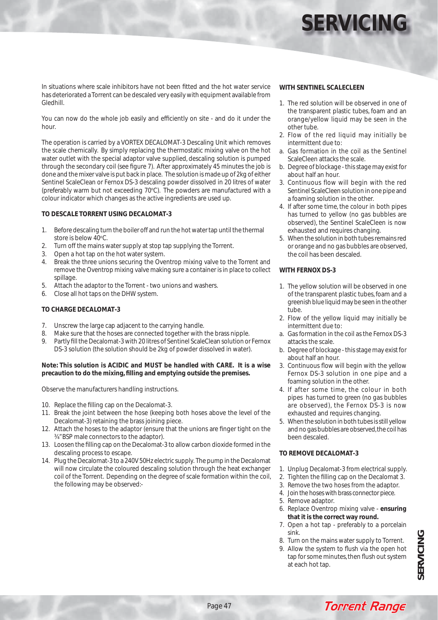# **SERVICIN**

In situations where scale inhibitors have not been fitted and the hot water service has deteriorated a Torrent can be descaled very easily with equipment available from Gledhill.

You can now do the whole job easily and efficiently on site - and do it under the hour.

The operation is carried by a VORTEX DECALOMAT-3 Descaling Unit which removes the scale chemically. By simply replacing the thermostatic mixing valve on the hot water outlet with the special adaptor valve supplied, descaling solution is pumped through the secondary coil (see figure 7). After approximately 45 minutes the job is done and the mixer valve is put back in place. The solution is made up of 2kg of either Sentinel ScaleClean or Fernox DS-3 descaling powder dissolved in 20 litres of water (preferably warm but not exceeding 70°C). The powders are manufactured with a colour indicator which changes as the active ingredients are used up.

### **TO DESCALE TORRENT USING DECALOMAT-3**

- 1. Before descaling turn the boiler off and run the hot water tap until the thermal store is below 40°C.
- 2. Turn off the mains water supply at stop tap supplying the Torrent.
- 3. Open a hot tap on the hot water system.
- 4. Break the three unions securing the Oventrop mixing valve to the Torrent and remove the Oventrop mixing valve making sure a container is in place to collect spillage.
- 5. Attach the adaptor to the Torrent two unions and washers.
- 6. Close all hot taps on the DHW system.

### **TO CHARGE DECALOMAT-3**

- 7. Unscrew the large cap adjacent to the carrying handle.
- 8. Make sure that the hoses are connected together with the brass nipple.
- 9. Partly fill the Decalomat-3 with 20 litres of Sentinel ScaleClean solution or Fernox DS-3 solution (the solution should be 2kg of powder dissolved in water).

#### **Note: This solution is ACIDIC and MUST be handled with CARE. It is a wise precaution to do the mixing, fi lling and emptying outside the premises.**

Observe the manufacturers handling instructions.

- 10. Replace the filling cap on the Decalomat-3.
- 11. Break the joint between the hose (keeping both hoses above the level of the Decalomat-3) retaining the brass joining piece.
- 12. Attach the hoses to the adaptor (ensure that the unions are finger tight on the ¾" BSP male connectors to the adaptor).
- 13. Loosen the filling cap on the Decalomat-3 to allow carbon dioxide formed in the descaling process to escape.
- 14. Plug the Decalomat-3 to a 240V 50Hz electric supply. The pump in the Decalomat will now circulate the coloured descaling solution through the heat exchanger coil of the Torrent. Depending on the degree of scale formation within the coil, the following may be observed:-

#### **WITH SENTINEL SCALECLEEN**

- 1. The red solution will be observed in one of the transparent plastic tubes, foam and an orange/yellow liquid may be seen in the other tube.
- 2. Flow of the red liquid may initially be intermittent due to:
- a. Gas formation in the coil as the Sentinel ScaleCleen attacks the scale.
- b. Degree of blockage this stage may exist for about half an hour.
- 3. Continuous flow will begin with the red Sentinel ScaleCleen solution in one pipe and a foaming solution in the other.
- 4. If after some time, the colour in both pipes has turned to yellow (no gas bubbles are observed), the Sentinel ScaleCleen is now exhausted and requires changing.
- 5. When the solution in both tubes remains red or orange and no gas bubbles are observed, the coil has been descaled.

### **WITH FERNOX DS-3**

- 1. The yellow solution will be observed in one of the transparent plastic tubes, foam and a greenish blue liquid may be seen in the other tube.
- 2. Flow of the yellow liquid may initially be intermittent due to:
- a. Gas formation in the coil as the Fernox DS-3 attacks the scale.
- b. Degree of blockage this stage may exist for about half an hour.
- 3. Continuous flow will begin with the yellow Fernox DS-3 solution in one pipe and a foaming solution in the other.
- 4. If after some time, the colour in both pipes has turned to green (no gas bubbles are observed), the Fernox DS-3 is now exhausted and requires changing.
- 5. When the solution in both tubes is still yellow and no gas bubbles are observed, the coil has been descaled.

### **TO REMOVE DECALOMAT-3**

- 1. Unplug Decalomat-3 from electrical supply.
- 2. Tighten the filling cap on the Decalomat 3.
- 3. Remove the two hoses from the adaptor.
- 4. Join the hoses with brass connector piece.
- 5. Remove adaptor.
- 6. Replace Oventrop mixing valve **ensuring that it is the correct way round.**
- 7. Open a hot tap preferably to a porcelain sink.
- 8. Turn on the mains water supply to Torrent.
- 9. Allow the system to flush via the open hot tap for some minutes, then flush out system at each hot tap.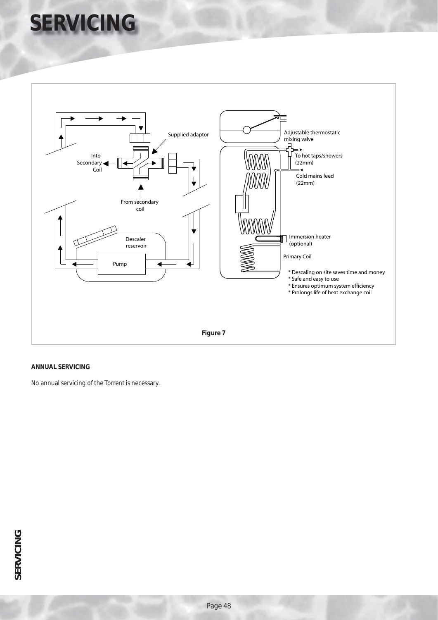# **SERVICING**



### **ANNUAL SERVICING**

No annual servicing of the Torrent is necessary.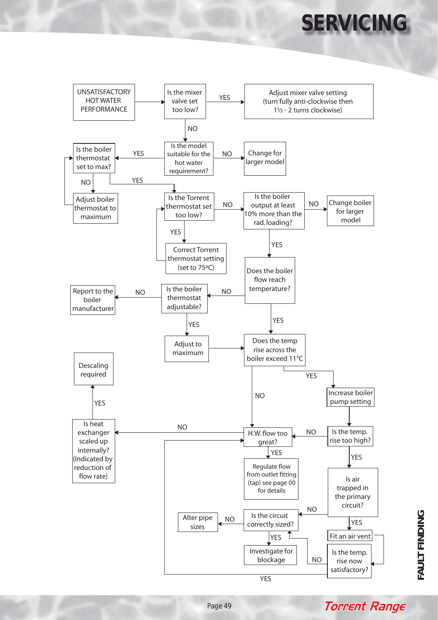# **SERVICING**





**Torrent Range**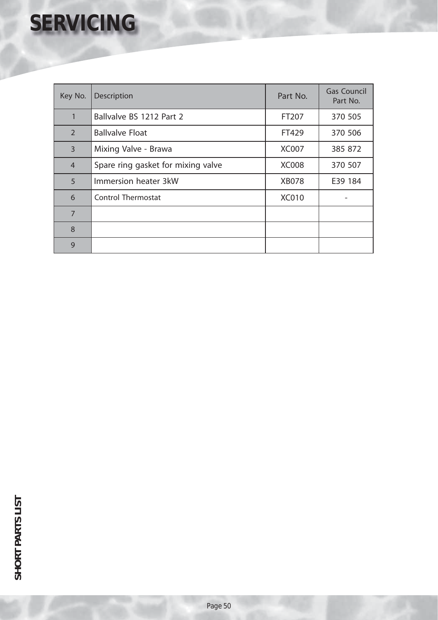# **SERVICING**

| Key No.        | Description                        | Part No.     | <b>Gas Council</b><br>Part No. |
|----------------|------------------------------------|--------------|--------------------------------|
| $\mathbf{1}$   | Ballvalve BS 1212 Part 2           | FT207        | 370 505                        |
| $\overline{2}$ | <b>Ballvalve Float</b>             | FT429        | 370 506                        |
| $\overline{3}$ | Mixing Valve - Brawa               | <b>XC007</b> | 385 872                        |
| $\overline{4}$ | Spare ring gasket for mixing valve | <b>XC008</b> | 370 507                        |
| 5              | Immersion heater 3kW               | <b>XB078</b> | E39 184                        |
| 6              | <b>Control Thermostat</b>          | <b>XC010</b> |                                |
| $\overline{7}$ |                                    |              |                                |
| 8              |                                    |              |                                |
| 9              |                                    |              |                                |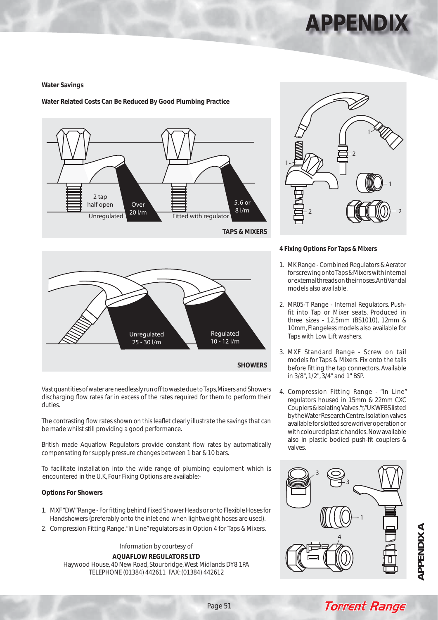### **APPENDIX**

### **Water Savings**

### **Water Related Costs Can Be Reduced By Good Plumbing Practice**





#### **4 Fixing Options For Taps & Mixers**

- 1. MK Range Combined Regulators & Aerator for screwing onto Taps & Mixers with internal or external threads on their noses. Anti Vandal models also available.
- 2. MR05-T Range Internal Regulators. Pushfit into Tap or Mixer seats. Produced in three sizes - 12.5mm (BS1010), 12mm & 10mm, Flangeless models also available for Taps with Low Lift washers.
- 3. MXF Standard Range Screw on tail models for Taps & Mixers. Fix onto the tails before fitting the tap connectors. Available in 3/8", 1/2", 3/4" and 1" BSP.
- 4. Compression Fitting Range "In Line" regulators housed in 15mm & 22mm CXC Couplers & Isolating Valves. "<sup>4"</sup> UK WFBS listed by the Water Research Centre. Isolation valves available for slotted screwdriver operation or with coloured plastic handles. Now available also in plastic bodied push-fit couplers & valves.





Vast quantities of water are needlessly run off to waste due to Taps, Mixers and Showers discharging flow rates far in excess of the rates required for them to perform their duties.

The contrasting flow rates shown on this leaflet clearly illustrate the savings that can be made whilst still providing a good performance.

British made Aquaflow Regulators provide constant flow rates by automatically compensating for supply pressure changes between 1 bar & 10 bars.

To facilitate installation into the wide range of plumbing equipment which is encountered in the U.K, Four Fixing Options are available:-

#### **Options For Showers**

- 1. MXF "DW" Range For fitting behind Fixed Shower Heads or onto Flexible Hoses for Handshowers (preferably onto the inlet end when lightweight hoses are used).
- 2. Compression Fitting Range. "In Line" regulators as in Option 4 for Taps & Mixers.

Information by courtesy of **AQUAFLOW REGULATORS LTD** Haywood House, 40 New Road, Stourbridge, West Midlands DY8 1PA TELEPHONE (01384) 442611 FAX: (01384) 442612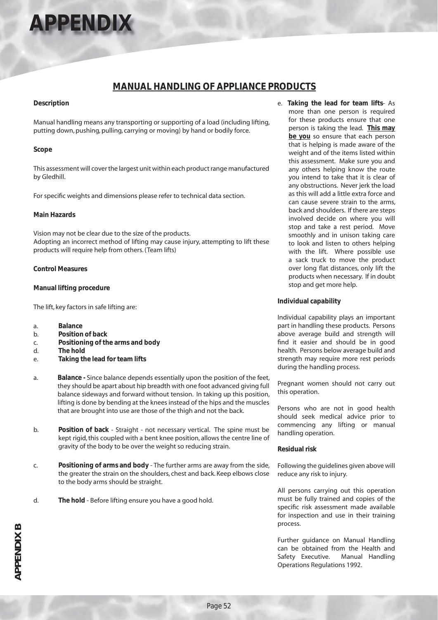# **APPENDIX**

### **MANUAL HANDLING OF APPLIANCE PRODUCTS**

### **Description**

Manual handling means any transporting or supporting of a load (including lifting, putting down, pushing, pulling, carrying or moving) by hand or bodily force.

### **Scope**

This assessment will cover the largest unit within each product range manufactured by Gledhill.

For specific weights and dimensions please refer to technical data section.

### **Main Hazards**

Vision may not be clear due to the size of the products. Adopting an incorrect method of lifting may cause injury, attempting to lift these products will require help from others. (Team lifts)

### **Control Measures**

### **Manual lifting procedure**

The lift, key factors in safe lifting are:

- a. **Balance**
- b. **Position of back**
- c. **Positioning of the arms and body**
- d. **The hold**
- e. **Taking the lead for team lifts**
- a. **Balance** Since balance depends essentially upon the position of the feet, they should be apart about hip breadth with one foot advanced giving full balance sideways and forward without tension. In taking up this position, lifting is done by bending at the knees instead of the hips and the muscles that are brought into use are those of the thigh and not the back.
- b. **Position of back** Straight not necessary vertical. The spine must be kept rigid, this coupled with a bent knee position, allows the centre line of gravity of the body to be over the weight so reducing strain.
- c. **Positioning of arms and body** The further arms are away from the side, the greater the strain on the shoulders, chest and back. Keep elbows close to the body arms should be straight.
- d. **The hold** Before lifting ensure you have a good hold.

e. **Taking the lead for team lifts**- As more than one person is required for these products ensure that one person is taking the lead. **This may be you** so ensure that each person that is helping is made aware of the weight and of the items listed within this assessment. Make sure you and any others helping know the route you intend to take that it is clear of any obstructions. Never jerk the load as this will add a little extra force and can cause severe strain to the arms, back and shoulders. If there are steps involved decide on where you will stop and take a rest period. Move smoothly and in unison taking care to look and listen to others helping with the lift. Where possible use a sack truck to move the product over long flat distances, only lift the products when necessary. If in doubt stop and get more help.

### **Individual capability**

Individual capability plays an important part in handling these products. Persons above average build and strength will find it easier and should be in good health. Persons below average build and strength may require more rest periods during the handling process.

Pregnant women should not carry out this operation.

Persons who are not in good health should seek medical advice prior to commencing any lifting or manual handling operation.

#### **Residual risk**

Following the guidelines given above will reduce any risk to injury.

All persons carrying out this operation must be fully trained and copies of the specific risk assessment made available for inspection and use in their training process.

Further guidance on Manual Handling can be obtained from the Health and Safety Executive. Manual Handling Operations Regulations 1992.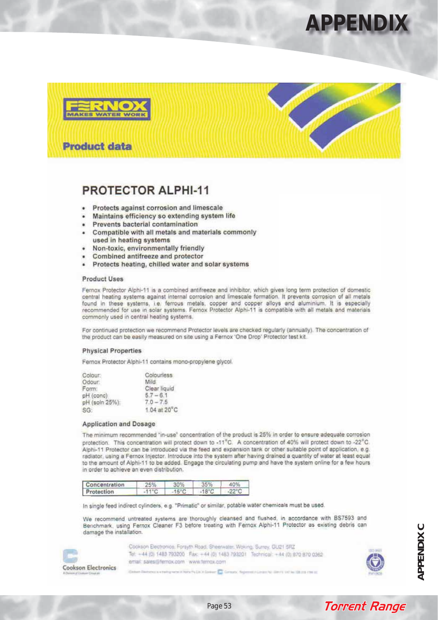### **APPENDIX**





### **PROTECTOR ALPHI-11**

- Protects against corrosion and limescale
- Maintains efficiency so extending system life
- Prevents bacterial contamination
- Compatible with all metals and materials commonly used in heating systems
- Non-toxic, environmentally friendly
- Combined antifreeze and protector
- Protects heating, chilled water and solar systems

#### **Product Uses**

Fernox Protector Alphi-11 is a combined antifreeze and inhibitor, which gives long term protection of domestic<br>central heating systems against internal corrosion and limescale formation. It prevents corrosion of all metals found in these systems, i.e. ferrous metals, copper and copper alloys and aluminium. It is especially recommended for use in solar systems. Fernox Protector Alphi-11 is compatible with all metals and materials commonly used in central heating systems.

For continued protection we recommend Protector levels are checked regularly (annually). The concentration of the product can be easily measured on site using a Fernox 'One Drop' Protector test kit.

#### **Physical Properties**

Fernox Protector Alphi-11 contains mono-propylene glycol.

| Colourless               |
|--------------------------|
| Mild.                    |
| Clear liquid             |
| $5.7 - 6.1$              |
| $70 - 75$                |
| $1.04$ at $20^{\circ}$ C |
|                          |

#### **Application and Dosage**

The minimum recommended "in-use" concentration of the product is 25% in order to ensure adequate corrosion protection. This concentration will protect down to -11°C. A concentration of 40% will protect down to -22°C. Alphi-11 Protector can be introduced via the feed and expansion tank or other suitable point of application, e.g. radiator, using a Fernox Injector. Introduce into the system after having drained a quantity of water at least equal to the amount of Alphi-11 to be added. Engage the circulating pump and have the system online for a few hours in order to achieve an even distribution.

| Concentration | 25%            | 30%             | 35%             | 40%             |
|---------------|----------------|-----------------|-----------------|-----------------|
| Protection    | $-11^{\circ}C$ | $-15^{\circ}$ C | $-18^{\circ}$ C | $-22^{\circ}$ C |

In single feed indirect cylinders, e.g. "Primatic" or similar, potable water chemicals must be used.

We recommend untreated systems are thoroughly cleansed and flushed, in accordance with BS7593 and Benchmark, using Fernox Cleaner F3 before treating with Fernox Alphi-11 Protector as existing debris can damage the installation.



Cookson Electronics; Forsyth Road, Sheerwater, Woking, Surrey, GU21 5RZ Tel: +44 (0) 1483 793200 Fax: +44 (0) 1483 793201 Technical: +44 (0) 870 870 0362 email: sales@fernox.com www.ternox.com

the property of the bank disc that he thousands and the coun-



**Torrent Range** 

**APPENDIXC APPENDIX C**

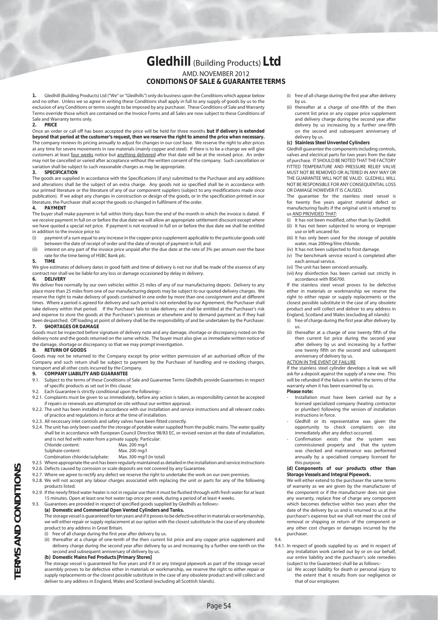### **Gledhill** (Building Products) **Ltd** AMD. NOVEMBER 2012 **CONDITIONS OF SALE & GUARANTEE TERMS**

**1.** Gledhill (Building Products) Ltd ("We" or "Gledhills") only do business upon the Conditions which appear below and no other. Unless we so agree in writing these Conditions shall apply in full to any supply of goods by us to the exclusion of any Conditions or terms sought to be imposed by any purchaser. These Conditions of Sale and Warranty Terms override those which are contained on the Invoice Forms and all Sales are now subject to these Conditions of Sale and Warranty terms only.

#### **2. PRICE**

Once an order or call off has been accepted the price will be held for three months **but if delivery is extended beyond that period at the customer's request, then we reserve the right to amend the price when necessary.** The company reviews its pricing annually to adjust for changes in our cost base. We reserve the right to alter prices at any time for severe movements in raw materials (mainly copper and steel). If there is to be a change we will give customers at least four weeks notice but anything delivered after that date will be at the revised price. An order may not be cancelled or varied after acceptance without the written consent of the company. Such cancellation or variation shall be subject to such reasonable charges as may be appropriate.

#### **3. SPECIFICATION**

The goods are supplied in accordance with the Specifications (if any) submitted to the Purchaser and any additions and alterations shall be the subject of an extra charge. Any goods not so specified shall be in accordance with our printed literature or the literature of any of our component suppliers (subject to any modifications made since publication). If we adopt any changes in construction or design of the goods, or in the specification printed in our literature, the Purchaser shall accept the goods so changed in fulfilment of the order.

#### **4. PAYMENT**

The buyer shall make payment in full within thirty days from the end of the month in which the invoice is dated. If we receive payment in full on or before the due date we will allow an appropriate settlement discount except where we have quoted a special net price. If payment is not received in full on or before the due date we shall be entitled in addition to the invoice price to:

- (i) payment of a sum equal to any increase in the copper price supplement applicable to the particular goods sold between the date of receipt of order and the date of receipt of payment in full; and
- (ii) interest on any part of the invoice price unpaid after the due date at the rate of 3% per annum over the base rate for the time being of HSBC Bank plc.

#### **5. TIME**

We give estimates of delivery dates in good faith and time of delivery is not nor shall be made of the essence of any contract nor shall we be liable for any loss or damage occasioned by delay in delivery.

#### **6. DELIVERY**

We deliver free normally by our own vehicles within 25 miles of any of our manufacturing depots. Delivery to any place more than 25 miles from one of our manufacturing depots may be subject to our quoted delivery charges. We reserve the right to make delivery of goods contained in one order by more than one consignment and at different times. Where a period is agreed for delivery and such period is not extended by our Agreement, the Purchaser shall take delivery within that period. If the Purchaser fails to take delivery, we shall be entitled at the Purchaser's risk and expense to store the goods at the Purchaser's premises or elsewhere and to demand payment as if they had been despatched. Off loading at point of delivery shall be the responsibility of and be undertaken by the Purchaser. **7. SHORTAGES OR DAMAGE**

Goods must be inspected before signature of delivery note and any damage, shortage or discrepancy noted on the delivery note and the goods returned on the same vehicle. The buyer must also give us immediate written notice of the damage, shortage or discrepancy so that we may prompt investigation.

#### **8. RETURN OF GOODS**

Goods may not be returned to the Company except by prior written permission of an authorised officer of the Company and such return shall be subject to payment by the Purchaser of handling and re-stocking charges, transport and all other costs incurred by the Company.

#### **9. COMPANY LIABILITY AND GUARANTEE**

- 9.1. Subject to the terms of these Conditions of Sale and Guarantee Terms Gledhills provide Guarantees in respect of specific products as set out in this clause.
- 9.2. Each Guarantee is strictly conditional upon the following:-
- 9.2.1. Complaints must be given to us immediately, before any action is taken, as responsibility cannot be accepted if repairs or renewals are attempted on site without our written approval.
- 9.2.2. The unit has been installed in accordance with our installation and service instructions and all relevant codes of practice and regulations in force at the time of installation.
- 9.2.3. All necessary inlet controls and safety valves have been fitted correctly.
- 9.2.4. The unit has only been used for the storage of potable water supplied from the public mains. The water quality shall be in accordance with European Council Directive 98/83 EC, or revised version at the date of installation, and is not fed with water from a private supply. Particular:

| Chloride content:                                                | Max. 200 mg/l            |
|------------------------------------------------------------------|--------------------------|
| Sulphate content:                                                | Max. 200 mg/l            |
| Combination chloride/sulphate:                                   | Max. 300 mg/l (in total) |
| 925 Where appropriate the unit has been requilarly maintained as |                          |

- 9.2.5 Where appropriate the unit has been regularly maintained as detailed in the installation and service instructions 9.2.6. Defects caused by corrosion or scale deposits are not covered by any Guarantee.
- 9.2.7. Where we agree to rectify any defect we reserve the right to undertake the work on our own premises
- 9.2.8. We will not accept any labour charges associated with replacing the unit or parts for any of the following products listed.
- 9.2.9. If the newly fitted water heater is not in regular use then it must be flushed through with fresh water for at least 15 minutes. Open at least one hot water tap once per week, during a period of at least 4 weeks.
- Guarantees are provided in respect of specified goods supplied by Gledhills as follows:-**(a) Domestic and Commercial Open Vented Cylinders and Tanks.**
	- The storage vessel is guaranteed for ten years and if it proves to be defective either in materials or workmanship, we will either repair or supply replacement at our option with the closest substitute in the case of any obsolete product to any address in Great Britain.
	- (i) free of all charge during the first year after delivery by us.
	- (ii) thereafter at a charge of one-tenth of the then current list price and any copper price supplement and delivery charge during the second year after delivery by us and increasing by a further one-tenth on the second and subsequent anniversary of delivery by us.
	- **(b) Domestic Mains Fed Products [Primary Stores]**

 The storage vessel is guaranteed for five years and if it or any integral pipework as part of the storage vessel assembly proves to be defective either in materials or workmanship, we reserve the right to either repair or supply replacements or the closest possible substitute in the case of any obsolete product and will collect and deliver to any address in England, Wales and Scotland (excluding all Scottish Islands).

- (i) free of all charge during the first year after delivery by us.
- (ii) thereafter at a charge of one-fifth of the then current list price or any copper price supplement and delivery charge during the second year after delivery by us increasing by a further one-fifth on the second and subsequent anniversary of delivery by us.

#### **(c) Stainless Steel Unvented Cylinders**

 Gledhill guarantee the components including controls, valves and electrical parts for two years from the date of purchase. IT SHOULD BE NOTED THAT THE FACTORY FITTED TEMPERATURE AND PRESSURE RELIEF VALVE MUST NOT BE REMOVED OR ALTERED IN ANY WAY OR THE GUARANTEE WILL NOT BE VALID. GLEDHILL WILL NOT BE RESPONSIBLE FOR ANY CONSEQUENTIAL LOSS OR DAMAGE HOWEVER IT IS CAUSED.

 The guarantee for the stainless steel vessel is for twenty five years against material defect or manufacturing faults if the original unit is returned to us AND PROVIDED THAT:

- (i) It has not been modified, other than by Gledhill.
- (ii) It has not been subjected to wrong or improper use or left uncared for.
- (iii) It has only been used for the storage of potable water, max 200mg/litre chloride.
- (iv) It has not been subjected to frost damage. (v) The benchmark service record is completed after
- each annual service.
- (vi) The unit has been serviced annually.
- (vii) Any disinfection has been carried out strictly in accordance with BS6700.

 If the stainless steel vessel proves to be defective either in materials or workmanship we reserve the right to either repair or supply replacements or the closest possible substitute in the case of any obsolete product and will collect and deliver to any address in England, Scotland and Wales (excluding all islands):

- (i) free of charge during the first year after delivery by us.
- (ii) thereafter at a charge of one twenty fifth of the then current list price during the second year after delivery by us and increasing by a further one twenty fifth on the second and subsequent anniversary of delivery by us.

#### ACTION IN THE EVENT OF FAILURE

 If the stainless steel cylinder develops a leak we will ask for a deposit against the supply of a new one. This will be refunded if the failure is within the terms of the warranty when it has been examined by us.

#### **Please note:**

- Installation must have been carried out by a licensed specialized company (heating contractor or plumber) following the version of installation instructions in force.
- Gledhill or its representative was given the opportunity to check complaints on site immediately after any defect occurred.
- Confirmation exists that the system was commissioned properly and that the system was checked and maintenance was performed annually by a specialised company licensed for this purpose.

#### **(d) Components of our products other than Storage Vessels and Integral Pipework.**

 We will either extend to the purchaser the same terms of warranty as we are given by the manufacturer of the component or if the manufacturer does not give any warranty, replace free of charge any component which becomes defective within two years after the date of the delivery by us and is returned to us at the purchaser's expense but we shall not meet the cost of removal or shipping or return of the component or any other cost charges or damages incurred by the purchaser.

- 9.4. 9.4.1. In respect of goods supplied by us and in respect of any installation work carried out by or on our behalf, our entire liability and the purchaser's sole remedies (subject to the Guarantees) shall be as follows:-
	- (a) We accept liability for death or personal injury to the extent that it results from our negligence or that of our employees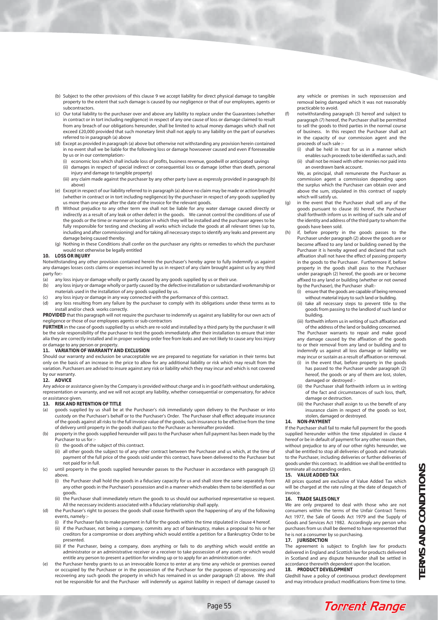- (b) Subject to the other provisions of this clause 9 we accept liability for direct physical damage to tangible property to the extent that such damage is caused by our negligence or that of our employees, agents or subcontractors.
- (c) Our total liability to the purchaser over and above any liability to replace under the Guarantees (whether in contract or in tort including negligence) in respect of any one cause of loss or damage claimed to result from any breach of our obligations hereunder, shall be limited to actual money damages which shall not exceed £20,000 provided that such monetary limit shall not apply to any liability on the part of ourselves referred to in paragraph (a) above
- (d) Except as provided in paragraph (a) above but otherwise not withstanding any provision herein contained in no event shall we be liable for the following loss or damage howsoever caused and even if foreseeable by us or in our contemplation:-
	- (i) economic loss which shall include loss of profits, business revenue, goodwill or anticipated savings
	- (ii) damages in respect of special indirect or consequential loss or damage (other than death, personal injury and damage to tangible property)
	- (iii) any claim made against the purchaser by any other party (save as expressly provided in paragraph (b) above)
- (e) Except in respect of our liability referred to in paragraph (a) above no claim may be made or action brought (whether in contract or in tort including negligence) by the purchaser in respect of any goods supplied by us more than one year after the date of the invoice for the relevant goods.
- (f) Without prejudice to any other term we shall not be liable for any water damage caused directly or indirectly as a result of any leak or other defect in the goods. We cannot control the conditions of use of the goods or the time or manner or location in which they will be installed and the purchaser agrees to be fully responsible for testing and checking all works which include the goods at all relevant times (up to, including and after commissioning) and for taking all necessary steps to identify any leaks and prevent any damage being caused thereby.
- (g) Nothing in these Conditions shall confer on the purchaser any rights or remedies to which the purchaser would not otherwise be legally entitled

#### **10. LOSS OR INJURY**

Notwithstanding any other provision contained herein the purchaser's hereby agree to fully indemnify us against any damages losses costs claims or expenses incurred by us in respect of any claim brought against us by any third party for:-

- (a) any loss injury or damage wholly or partly caused by any goods supplied by us or their use.<br>(b) any loss injury or damage wholly or partly caused by the defective installation or substanda
- any loss injury or damage wholly or partly caused by the defective installation or substandard workmanship or materials used in the installation of any goods supplied by us.
- (c) any loss injury or damage in any way connected with the performance of this contract.
- (d) any loss resulting from any failure by the purchaser to comply with its obligations under these terms as to install and/or check works correctly.

**PROVIDED** that this paragraph will not require the purchaser to indemnify us against any liability for our own acts of negligence or those of our employees agents or sub-contractors

**FURTHER** in the case of goods supplied by us which are re-sold and installed by a third party by the purchaser it will be the sole responsibility of the purchaser to test the goods immediately after their installation to ensure that inter alia they are correctly installed and in proper working order free from leaks and are not likely to cause any loss injury or damage to any person or property.

#### **11. VARIATION OF WARRANTY AND EXCLUSION**

Should our warranty and exclusion be unacceptable we are prepared to negotiate for variation in their terms but only on the basis of an increase in the price to allow for any additional liability or risk which may result from the variation. Purchasers are advised to insure against any risk or liability which they may incur and which is not covered by our warranty.

#### **12. ADVICE**

Any advice or assistance given by the Company is provided without charge and is in good faith without undertaking, representation or warranty, and we will not accept any liability, whether consequential or compensatory, for advice or assistance given.

#### **13. RISK AND RETENTION OF TITLE**

- (a) goods supplied by us shall be at the Purchaser's risk immediately upon delivery to the Purchaser or into custody on the Purchaser's behalf or to the Purchaser's Order. The Purchaser shall effect adequate insurance of the goods against all risks to the full invoice value of the goods, such insurance to be effective from the time of delivery until property in the goods shall pass to the Purchaser as hereinafter provided.
- (b) property in the goods supplied hereunder will pass to the Purchaser when full payment has been made by the Purchaser to us for :-
	- (i) the goods of the subject of this contract.
	- (ii) all other goods the subject to of any other contract between the Purchaser and us which, at the time of payment of the full price of the goods sold under this contract, have been delivered to the Purchaser but not paid for in full.
- (c) until property in the goods supplied hereunder passes to the Purchaser in accordance with paragraph (2) above.
	- (i) the Purchaser shall hold the goods in a fiduciary capacity for us and shall store the same separately from any other goods in the Purchaser's possession and in a manner which enables them to be identified as our goods.
	- (ii) the Purchaser shall immediately return the goods to us should our authorised representative so request. All the necessary incidents associated with a fiduciary relationship shall apply.
	- the Purchaser's right to possess the goods shall cease forthwith upon the happening of any of the following events, namely :-
		- (i) if the Purchaser fails to make payment in full for the goods within the time stipulated in clause 4 hereof.
		- (ii) if the Purchaser, not being a company, commits any act of bankruptcy, makes a proposal to his or her creditors for a compromise or does anything which would entitle a petition for a Bankruptcy Order to be presented.
		- (iii) if the Purchaser, being a company, does anything or fails to do anything which would entitle an administrator or an administrative receiver or a receiver to take possession of any assets or which would entitle any person to present a petition for winding up or to apply for an administration order.
- the Purchaser hereby grants to us an irrevocable licence to enter at any time any vehicle or premises owned or occupied by the Purchaser or in the possession of the Purchaser for the purposes of repossessing and recovering any such goods the property in which has remained in us under paragraph (2) above. We shall not be responsible for and the Purchaser will indemnify us against liability in respect of damage caused to

any vehicle or premises in such repossession and removal being damaged which it was not reasonably practicable to avoid.

- notwithstanding paragraph (3) hereof and subject to paragraph (7) hereof, the Purchaser shall be permitted to sell the goods to third parties in the normal course of business. In this respect the Purchaser shall act in the capacity of our commission agent and the proceeds of such sale :-
- (i) shall be held in trust for us in a manner which enables such proceeds to be identified as such, and: (ii) shall not be mixed with other monies nor paid into
- an overdrawn bank account. We, as principal, shall remunerate the Purchaser as commission agent a commission depending upon the surplus which the Purchaser can obtain over and above the sum, stipulated in this contract of supply which will satisfy us.
- (g) in the event that the Purchaser shall sell any of the goods pursuant to clause (6) hereof, the Purchaser shall forthwith inform us in writing of such sale and of the identity and address of the third party to whom the goods have been sold.
- (h) if, before property in the goods passes to the Purchaser under paragraph (2) above the goods are or become affixed to any land or building owned by the Purchaser it is hereby agreed and declared that such affixation shall not have the effect of passing property in the goods to the Purchaser. Furthermore if, before property in the goods shall pass to the Purchaser under paragraph (2) hereof, the goods are or become affixed to any land or building (whether or not owned by the Purchaser), the Purchaser shall:-
	- (i) ensure that the goods are capable of being removed without material injury to such land or building.
	- (ii) take all necessary steps to prevent title to the goods from passing to the landlord of such land or building.
	- (iii) forthwith inform us in writing of such affixation and of the address of the land or building concerned.

 The Purchaser warrants to repair and make good any damage caused by the affixation of the goods to or their removal from any land or building and to indemnify us against all loss damage or liability we may incur or sustain as a result of affixation or removal.

- (i) in the event that, before property in the goods has passed to the Purchaser under paragraph (2) hereof, the goods or any of them are lost, stolen, damaged or destroyed :-
- (ii) the Purchaser shall forthwith inform us in writing of the fact and circumstances of such loss, theft, damage or destruction.
- (iii) the Purchaser shall assign to us the benefit of any insurance claim in respect of the goods so lost, stolen, damaged or destroyed.

#### **14. NON-PAYMENT**

If the Purchaser shall fail to make full payment for the goods supplied hereunder within the time stipulated in clause 4 hereof or be in default of payment for any other reason then, without prejudice to any of our other rights hereunder, we shall be entitled to stop all deliveries of goods and materials to the Purchaser, including deliveries or further deliveries of goods under this contract. In addition we shall be entitled to terminate all outstanding orders.

#### **15. VALUE ADDED TAX**

All prices quoted are exclusive of Value Added Tax which will be charged at the rate ruling at the date of despatch of invoice.

#### **16. TRADE SALES ONLY**

We are only prepared to deal with those who are not consumers within the terms of the Unfair Contract Terms Act 1977, the Sale of Goods Act 1979 and the Supply of Goods and Services Act 1982. Accordingly any person who purchases from us shall be deemed to have represented that he is not a consumer by so purchasing.

#### **17. JURISDICTION**

The agreement is subject to English law for products delivered in England and Scottish law for products delivered in Scotland and any dispute hereunder shall be settled in accordance therewith dependent upon the location.

#### **18. PRODUCT DEVELOPMENT**

Gledhill have a policy of continuous product development and may introduce product modifications from time to time.

**Torrent Range**